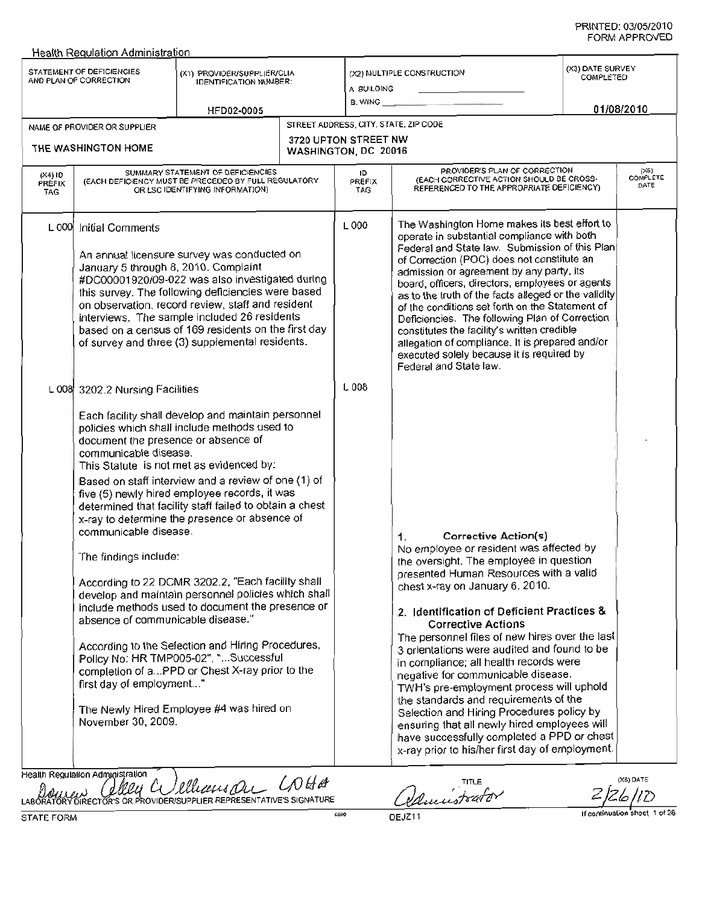|                             | <b>Health Regulation Administration</b>                                                                                                                                                                                                                                                                                                                                                                                                                                                                                                                                                                                                                                                                                                                                                                                                                                                                                                                                    |                                                                                                                                                                                                                                                                                                                                                                     |  |                                              |                                                                                                                                                                                                                                                                                                                                                                                                                                                                                                                                                                                                                                                                                                                                              |                               |  |  |
|-----------------------------|----------------------------------------------------------------------------------------------------------------------------------------------------------------------------------------------------------------------------------------------------------------------------------------------------------------------------------------------------------------------------------------------------------------------------------------------------------------------------------------------------------------------------------------------------------------------------------------------------------------------------------------------------------------------------------------------------------------------------------------------------------------------------------------------------------------------------------------------------------------------------------------------------------------------------------------------------------------------------|---------------------------------------------------------------------------------------------------------------------------------------------------------------------------------------------------------------------------------------------------------------------------------------------------------------------------------------------------------------------|--|----------------------------------------------|----------------------------------------------------------------------------------------------------------------------------------------------------------------------------------------------------------------------------------------------------------------------------------------------------------------------------------------------------------------------------------------------------------------------------------------------------------------------------------------------------------------------------------------------------------------------------------------------------------------------------------------------------------------------------------------------------------------------------------------------|-------------------------------|--|--|
|                             | STATEMENT OF DEFICIENCIES<br>AND PLAN OF CORRECTION                                                                                                                                                                                                                                                                                                                                                                                                                                                                                                                                                                                                                                                                                                                                                                                                                                                                                                                        | (X1) PROVIDER/SUPPLIER/CLIA<br><b>IDENTIFICATION NUMBER:</b>                                                                                                                                                                                                                                                                                                        |  | (X2) MULTIPLE CONSTRUCTION<br>A BUILDING     |                                                                                                                                                                                                                                                                                                                                                                                                                                                                                                                                                                                                                                                                                                                                              | (X3) DATE SURVEY<br>COMPLETED |  |  |
|                             |                                                                                                                                                                                                                                                                                                                                                                                                                                                                                                                                                                                                                                                                                                                                                                                                                                                                                                                                                                            | HFD02-0005                                                                                                                                                                                                                                                                                                                                                          |  | B. WING                                      |                                                                                                                                                                                                                                                                                                                                                                                                                                                                                                                                                                                                                                                                                                                                              | 01/08/2010                    |  |  |
|                             | NAME OF PROVIDER OR SUPPLIER                                                                                                                                                                                                                                                                                                                                                                                                                                                                                                                                                                                                                                                                                                                                                                                                                                                                                                                                               |                                                                                                                                                                                                                                                                                                                                                                     |  | STREET ADDRESS, CITY, STATE, ZIP CODE        |                                                                                                                                                                                                                                                                                                                                                                                                                                                                                                                                                                                                                                                                                                                                              |                               |  |  |
|                             | THE WASHINGTON HOME                                                                                                                                                                                                                                                                                                                                                                                                                                                                                                                                                                                                                                                                                                                                                                                                                                                                                                                                                        |                                                                                                                                                                                                                                                                                                                                                                     |  | 3720 UPTON STREET NW<br>WASHINGTON, DC 20016 |                                                                                                                                                                                                                                                                                                                                                                                                                                                                                                                                                                                                                                                                                                                                              |                               |  |  |
| $(X4)$ ID<br>PREFIX<br>TAG. |                                                                                                                                                                                                                                                                                                                                                                                                                                                                                                                                                                                                                                                                                                                                                                                                                                                                                                                                                                            | SUMMARY STATEMENT OF DEFICIENCIES<br>(EACH DEFICIENCY MUST BE PRECEDED BY FULL REGULATORY<br>OR LSC IDENTIFYING INFORMATION)                                                                                                                                                                                                                                        |  | ID<br>PREFIX<br>TAG                          | PROVIDER'S PLAN OF CORRECTION<br>(EACH CORRECTIVE ACTION SHOULD BE CROSS-<br>REFERENCED TO THE APPROPRIATE DEFICIENCY)                                                                                                                                                                                                                                                                                                                                                                                                                                                                                                                                                                                                                       | (X6)<br>COMPLETE<br>DATE      |  |  |
|                             | L 000 Initial Comments<br>January 5 through 8, 2010. Complaint                                                                                                                                                                                                                                                                                                                                                                                                                                                                                                                                                                                                                                                                                                                                                                                                                                                                                                             | An annual licensure survey was conducted on<br>#DC00001920/09-022 was also investigated during<br>this survey. The following deficiencies were based<br>on observation, record review, staff and resident<br>interviews. The sample included 26 residents<br>based on a census of 169 residents on the first day<br>of survey and three (3) supplemental residents. |  | L000                                         | The Washington Home makes its best effort to<br>operate in substantial compliance with both<br>Federal and State law. Submission of this Plan<br>of Correction (POC) does not constitute an<br>admission or agreement by any party, its<br>board, officers, directors, employees or agents<br>as to the truth of the facts alleged or the validity<br>of the conditions set forth on the Statement of<br>Deficiencies. The following Plan of Correction<br>constitutes the facility's written credible<br>allegation of compliance. It is prepared and/or<br>executed solely because it is required by<br>Federal and State law.                                                                                                             |                               |  |  |
|                             | L 008 3202.2 Nursing Facilities<br>Each facility shall develop and maintain personnel<br>policies which shall include methods used to<br>document the presence or absence of<br>communicable disease.<br>This Statute is not met as evidenced by:<br>Based on staff interview and a review of one (1) of<br>five (5) newly hired employee records, it was<br>determined that facility staff failed to obtain a chest<br>x-ray to determine the presence or absence of<br>communicable disease.<br>The findings include:<br>According to 22 DCMR 3202.2, "Each facility shall<br>develop and maintain personnel policies which shall<br>include methods used to document the presence or<br>absence of communicable disease."<br>According to the Selection and Hiring Procedures,<br>Policy No: HR TMP005-02", "Successful<br>completion of aPPD or Chest X-ray prior to the<br>first day of employment"<br>The Newly Hired Employee #4 was hired on<br>November 30, 2009. |                                                                                                                                                                                                                                                                                                                                                                     |  |                                              | Corrective Action(s)<br>1.<br>No employee or resident was affected by<br>the oversight. The employee in question<br>presented Human Resources with a valid<br>chest x-ray on January 6, 2010.<br>2. Identification of Deficient Practices &<br><b>Corrective Actions</b><br>The personnel files of new hires over the last<br>3 orientations were audited and found to be<br>in compliance; all health records were<br>negative for communicable disease.<br>TWH's pre-employment process will uphold<br>the standards and requirements of the<br>Selection and Hiring Procedures policy by<br>ensuring that all newly hired employees will<br>have successfully completed a PPD or chest<br>x-ray prior to his/her first day of employment. |                               |  |  |
| <b>LABOR</b>                | Health Regulation Administration                                                                                                                                                                                                                                                                                                                                                                                                                                                                                                                                                                                                                                                                                                                                                                                                                                                                                                                                           | Illianspu LAHA<br>IDER/SUPPLIER REPRESENTATIVE'S SIGNATURE                                                                                                                                                                                                                                                                                                          |  |                                              | Damistrator                                                                                                                                                                                                                                                                                                                                                                                                                                                                                                                                                                                                                                                                                                                                  | (X8) DATE                     |  |  |

STATE FORM DEJZ11

If continuation sheet 1 of 26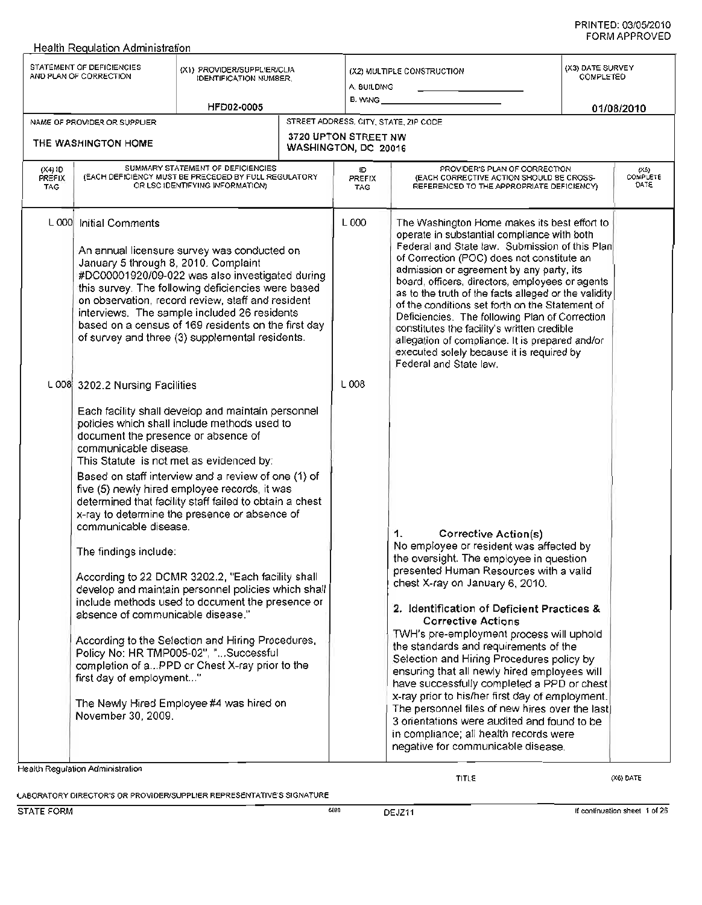|                                                     | STATEMENT OF DEFICIENCIES<br>AND PLAN OF CORRECTION                                                                                                                                                                                                                                  | (X1) PROVIDER/SUPPLIER/CLIA<br><b>IDENTIFICATION NUMBER.</b>                                                                                                                                                                                                                                                                                                                                                                                                                                                                                                                                                                                                                       |                                              | (X2) MULTIPLE CONSTRUCTION<br>A. BUILDING<br>B. WING _ |                                                                                                                                                                                                                                                                                                                                                                                                                                                                                                                                                                                                                                                                                                                                                      | (X3) DATE SURVEY<br><b>COMPLETED</b> |  |
|-----------------------------------------------------|--------------------------------------------------------------------------------------------------------------------------------------------------------------------------------------------------------------------------------------------------------------------------------------|------------------------------------------------------------------------------------------------------------------------------------------------------------------------------------------------------------------------------------------------------------------------------------------------------------------------------------------------------------------------------------------------------------------------------------------------------------------------------------------------------------------------------------------------------------------------------------------------------------------------------------------------------------------------------------|----------------------------------------------|--------------------------------------------------------|------------------------------------------------------------------------------------------------------------------------------------------------------------------------------------------------------------------------------------------------------------------------------------------------------------------------------------------------------------------------------------------------------------------------------------------------------------------------------------------------------------------------------------------------------------------------------------------------------------------------------------------------------------------------------------------------------------------------------------------------------|--------------------------------------|--|
|                                                     |                                                                                                                                                                                                                                                                                      | HFD02-0005                                                                                                                                                                                                                                                                                                                                                                                                                                                                                                                                                                                                                                                                         |                                              |                                                        |                                                                                                                                                                                                                                                                                                                                                                                                                                                                                                                                                                                                                                                                                                                                                      | 01/08/2010                           |  |
| NAME OF PROVIDER OR SUPPLIER<br>THE WASHINGTON HOME |                                                                                                                                                                                                                                                                                      |                                                                                                                                                                                                                                                                                                                                                                                                                                                                                                                                                                                                                                                                                    | 3720 UPTON STREET NW<br>WASHINGTON, DC 20016 |                                                        | STREET ADDRESS, CITY, STATE, ZIP CODE                                                                                                                                                                                                                                                                                                                                                                                                                                                                                                                                                                                                                                                                                                                |                                      |  |
| (X4)1D<br>PREFIX<br><b>TAG</b>                      | SUMMARY STATEMENT OF DEFICIENCIES<br>(EACH DEFICIENCY MUST BE PRECEDED BY FULL REGULATORY<br>OR LSC IDENTIFYING INFORMATION)                                                                                                                                                         |                                                                                                                                                                                                                                                                                                                                                                                                                                                                                                                                                                                                                                                                                    |                                              | Đ<br><b>PREFIX</b><br><b>TAG</b>                       | PROVIDER'S PLAN OF CORRECTION<br>(EACH CORRECTIVE ACTION SHOULD BE CROSS-<br>REFERENCED TO THE APPROPRIATE DEFICIENCY)                                                                                                                                                                                                                                                                                                                                                                                                                                                                                                                                                                                                                               | $(X5)$<br>COMPLETE<br>DATE           |  |
|                                                     | L 000 Initial Comments<br>January 5 through 8, 2010. Complaint                                                                                                                                                                                                                       | An annual licensure survey was conducted on<br>#DC00001920/09-022 was also investigated during<br>this survey. The following deficiencies were based<br>on observation, record review, staff and resident<br>interviews. The sample included 26 residents<br>based on a census of 169 residents on the first day<br>of survey and three (3) supplemental residents.                                                                                                                                                                                                                                                                                                                |                                              | L 000                                                  | The Washington Home makes its best effort to<br>operate in substantial compliance with both<br>Federal and State law. Submission of this Plan<br>of Correction (POC) does not constitute an<br>admission or agreement by any party, its<br>board, officers, directors, employees or agents<br>as to the truth of the facts alleged or the validity<br>of the conditions set forth on the Statement of<br>Deficiencies. The following Plan of Correction<br>constitutes the facility's written credible<br>allegation of compliance. It is prepared and/or<br>executed solely because it is required by<br>Federal and State law.                                                                                                                     |                                      |  |
|                                                     | L 008 3202.2 Nursing Facilities<br>document the presence or absence of<br>communicable disease.<br>This Statute is not met as evidenced by:<br>communicable disease.<br>The findings include:<br>absence of communicable disease."<br>first day of employment"<br>November 30, 2009. | Each facility shall develop and maintain personnel<br>policies which shall include methods used to<br>Based on staff interview and a review of one (1) of<br>five (5) newly hired employee records, it was<br>determined that facility staff failed to obtain a chest<br>x-ray to determine the presence or absence of<br>According to 22 DCMR 3202.2, "Each facility shall<br>develop and maintain personnel policies which shall<br>include methods used to document the presence or<br>According to the Selection and Hiring Procedures,<br>Policy No: HR TMP005-02", "Successful<br>completion of aPPD or Chest X-ray prior to the<br>The Newly Hired Employee #4 was hired on |                                              | L008                                                   | <b>Corrective Action(s)</b><br>1.<br>No employee or resident was affected by<br>the oversight. The employee in question<br>presented Human Resources with a valid<br>chest X-ray on January 6, 2010.<br>2. Identification of Deficient Practices &<br><b>Corrective Actions</b><br>TWH's pre-employment process will uphold<br>the standards and requirements of the<br>Selection and Hiring Procedures policy by<br>ensuring that all newly hired employees will<br>have successfully completed a PPD or chest<br>x-ray prior to his/her first day of employment.<br>The personnel files of new hires over the last)<br>3 orientations were audited and found to be<br>in compliance; all health records were<br>negative for communicable disease. |                                      |  |
|                                                     | Health Regulation Administration                                                                                                                                                                                                                                                     |                                                                                                                                                                                                                                                                                                                                                                                                                                                                                                                                                                                                                                                                                    |                                              |                                                        | <b>TITLE</b>                                                                                                                                                                                                                                                                                                                                                                                                                                                                                                                                                                                                                                                                                                                                         | (X6) DATE                            |  |

LABORATORY DIRECTOR'S OR PROVIDER/SUPPLIER REPRESENTATIVE'S SIGNATURE

**Health Requlation Administration**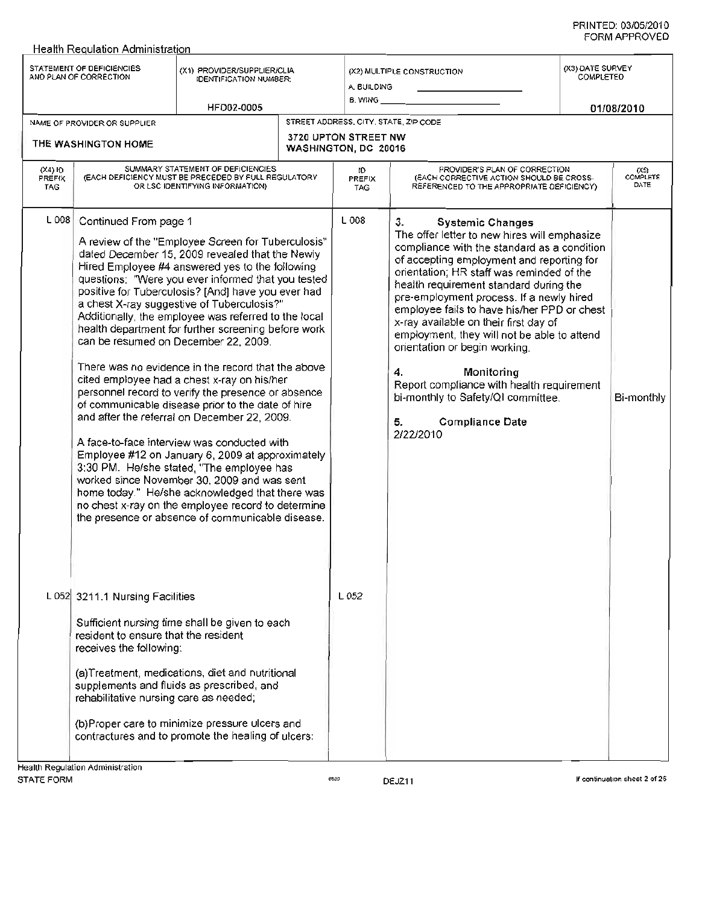| STATEMENT OF DEFICIENCIES<br>AND PLAN OF CORRECTION                                                                                                                                       | (X1) PROVIDER/SUPPLIER/CLIA<br><b>IDENTIFICATION NUMBER:</b>                                                                                                                                                                                                                                                                                                                                                                                                                                                                                                                                                                                                                                                                                                                                                                                                                                                                                                                                                                                                                                          |                      | A BUILDING<br>B. WING __                            | (X2) MULTIPLE CONSTRUCTION                                                                                                                                                                                                                                                                                                                                                                                                                                                                                                                                                                                                               | (X3) DATE SURVEY<br>COMPLETED |                          |  |
|-------------------------------------------------------------------------------------------------------------------------------------------------------------------------------------------|-------------------------------------------------------------------------------------------------------------------------------------------------------------------------------------------------------------------------------------------------------------------------------------------------------------------------------------------------------------------------------------------------------------------------------------------------------------------------------------------------------------------------------------------------------------------------------------------------------------------------------------------------------------------------------------------------------------------------------------------------------------------------------------------------------------------------------------------------------------------------------------------------------------------------------------------------------------------------------------------------------------------------------------------------------------------------------------------------------|----------------------|-----------------------------------------------------|------------------------------------------------------------------------------------------------------------------------------------------------------------------------------------------------------------------------------------------------------------------------------------------------------------------------------------------------------------------------------------------------------------------------------------------------------------------------------------------------------------------------------------------------------------------------------------------------------------------------------------------|-------------------------------|--------------------------|--|
| NAME OF PROVIDER OR SUPPLIER                                                                                                                                                              | HFD02-0005                                                                                                                                                                                                                                                                                                                                                                                                                                                                                                                                                                                                                                                                                                                                                                                                                                                                                                                                                                                                                                                                                            |                      | 01/08/2010<br>STREET ADDRESS, CITY, STATE, ZIP CODE |                                                                                                                                                                                                                                                                                                                                                                                                                                                                                                                                                                                                                                          |                               |                          |  |
| THE WASHINGTON HOME                                                                                                                                                                       |                                                                                                                                                                                                                                                                                                                                                                                                                                                                                                                                                                                                                                                                                                                                                                                                                                                                                                                                                                                                                                                                                                       | WASHINGTON, DC 20016 | 3720 UPTON STREET NW                                |                                                                                                                                                                                                                                                                                                                                                                                                                                                                                                                                                                                                                                          |                               |                          |  |
| $(X4)$ ID<br><b>PREFIX</b><br>TAG                                                                                                                                                         | SUMMARY STATEMENT OF DEFICIENCIES<br>(EACH DEFICIENCY MUST BE PRECEDED BY FULL REGULATORY<br>OR LSC IDENTIFYING INFORMATION)                                                                                                                                                                                                                                                                                                                                                                                                                                                                                                                                                                                                                                                                                                                                                                                                                                                                                                                                                                          |                      | ΙO<br><b>PREFIX</b><br><b>TAG</b>                   | PROVIDER'S PLAN OF CORRECTION<br>(EACH CORRECTIVE ACTION SHOULD BE CROSS-<br>REFERENCED TO THE APPROPRIATE DEFICIENCY).                                                                                                                                                                                                                                                                                                                                                                                                                                                                                                                  |                               | (XS)<br>COMPLETE<br>DATE |  |
| L 008 Continued From page 1                                                                                                                                                               | A review of the "Employee Screen for Tuberculosis"<br>dated December 15, 2009 revealed that the Newly<br>Hired Employee #4 answered yes to the following<br>questions: "Were you ever informed that you tested<br>positive for Tuberculosis? [And] have you ever had<br>a chest X-ray suggestive of Tuberculosis?"<br>Additionally, the employee was referred to the local<br>health department for further screening before work<br>can be resumed on December 22, 2009.<br>There was no evidence in the record that the above<br>cited employee had a chest x-ray on his/her<br>personnel record to verify the presence or absence<br>of communicable disease prior to the date of hire<br>and after the referral on December 22, 2009.<br>A face-to-face interview was conducted with<br>Employee #12 on January 6, 2009 at approximately<br>3:30 PM. He/she stated, "The employee has<br>worked since November 30, 2009 and was sent<br>home today." He/she acknowledged that there was<br>no chest x-ray on the employee record to determine<br>the presence or absence of communicable disease. |                      | L 008                                               | <b>Systemic Changes</b><br>3.<br>The offer letter to new hires will emphasize<br>compliance with the standard as a condition<br>of accepting employment and reporting for<br>orientation; HR staff was reminded of the<br>health requirement standard during the<br>pre-employment process. If a newly hired<br>employee fails to have his/her PPD or chest<br>x-ray available on their first day of<br>employment, they will not be able to attend<br>orientation or begin working.<br>Monitoring<br>4.<br>Report compliance with health requirement<br>bi-monthly to Safety/QI committee.<br><b>Compliance Date</b><br>5.<br>2/22/2010 |                               | Bi-monthly               |  |
| L 052 3211.1 Nursing Facilities<br>resident to ensure that the resident<br>receives the following:<br>supplements and fluids as prescribed, and<br>rehabilitative nursing care as needed; | Sufficient nursing time shall be given to each<br>(a)Treatment, medications, diet and nutritional<br>(b)Proper care to minimize pressure ulcers and<br>contractures and to promote the healing of ulcers:                                                                                                                                                                                                                                                                                                                                                                                                                                                                                                                                                                                                                                                                                                                                                                                                                                                                                             |                      | L 052                                               |                                                                                                                                                                                                                                                                                                                                                                                                                                                                                                                                                                                                                                          |                               |                          |  |
| Health Regulation Administration                                                                                                                                                          |                                                                                                                                                                                                                                                                                                                                                                                                                                                                                                                                                                                                                                                                                                                                                                                                                                                                                                                                                                                                                                                                                                       |                      |                                                     |                                                                                                                                                                                                                                                                                                                                                                                                                                                                                                                                                                                                                                          |                               |                          |  |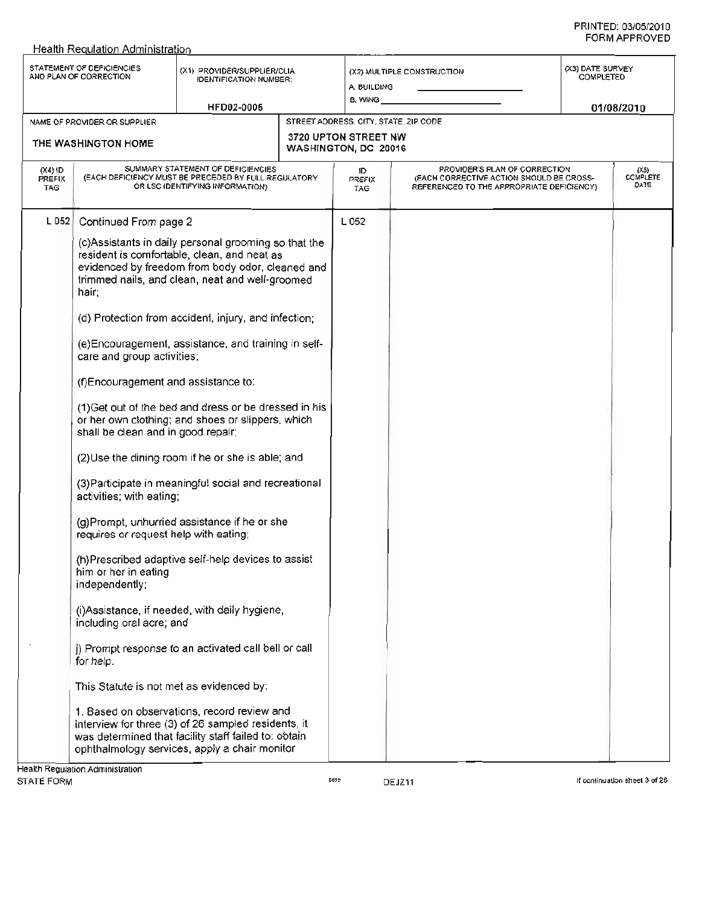|                                   | STATEMENT OF DEFICIENCIES<br>AND PLAN OF CORRECTION                                                                                                                                                                                                                                               | (X1) PROVIDER/SUPPLIER/CLIA<br>IDENTIFICATION NUMBER:                                                                                                                                                                                                                                                                                                                                                                                                                                                                                                                                                                                                                                                                                                                                                                                                                                                                                                                                                                             | (X2) MULTIPLE CONSTRUCTION<br>A. BUILDING<br>8. WING ___ |                                                                                                                         |  | (X3) DATE SURVEY<br>COMPLETED |  |
|-----------------------------------|---------------------------------------------------------------------------------------------------------------------------------------------------------------------------------------------------------------------------------------------------------------------------------------------------|-----------------------------------------------------------------------------------------------------------------------------------------------------------------------------------------------------------------------------------------------------------------------------------------------------------------------------------------------------------------------------------------------------------------------------------------------------------------------------------------------------------------------------------------------------------------------------------------------------------------------------------------------------------------------------------------------------------------------------------------------------------------------------------------------------------------------------------------------------------------------------------------------------------------------------------------------------------------------------------------------------------------------------------|----------------------------------------------------------|-------------------------------------------------------------------------------------------------------------------------|--|-------------------------------|--|
|                                   | NAME OF PROVIDER OR SUPPLIER                                                                                                                                                                                                                                                                      | HFD02-0005                                                                                                                                                                                                                                                                                                                                                                                                                                                                                                                                                                                                                                                                                                                                                                                                                                                                                                                                                                                                                        | STREET ADDRESS, CITY, STATE, ZIP CODE                    |                                                                                                                         |  | 01/08/2010                    |  |
|                                   | THE WASHINGTON HOME                                                                                                                                                                                                                                                                               |                                                                                                                                                                                                                                                                                                                                                                                                                                                                                                                                                                                                                                                                                                                                                                                                                                                                                                                                                                                                                                   | 3720 UPTON STREET NW<br>WASHINGTON, DC 20016             |                                                                                                                         |  |                               |  |
| $(X4)$ ID<br>PREFIX<br><b>TAG</b> |                                                                                                                                                                                                                                                                                                   | SUMMARY STATEMENT OF DEFICIENCIES<br>(EACH DEFICIENCY MUST BE PRECEDED BY FULL REGULATORY<br>OR LSC IDENTIFYING INFORMATION)                                                                                                                                                                                                                                                                                                                                                                                                                                                                                                                                                                                                                                                                                                                                                                                                                                                                                                      | ID.<br><b>PREFIX</b><br>TAG                              | PROVIDER'S PLAN OF CORRECTION<br>(EACH CORRECTIVE ACTION SHOULD BE CROSS-<br>REFERENCED TO THE APPROPRIATE DEFICIENCY). |  | (X5)<br>COMPLETE<br>DATE      |  |
| $L$ 052                           | Continued From page 2<br>hair;<br>care and group activities;<br>(f)Encouragement and assistance to:<br>shall be clean and in good repair;<br>activities; with eating;<br>requires or request help with eating;<br>him or her in eating<br>independently;<br>including oral acre; and<br>for help. | (c)Assistants in daily personal grooming so that the<br>resident is comfortable, clean, and neat as<br>evidenced by freedom from body odor, cleaned and<br>trimmed nails, and clean, neat and well-groomed<br>(d) Protection from accident, injury, and infection;<br>(e) Encouragement, assistance, and training in self-<br>(1) Get out of the bed and dress or be dressed in his<br>or her own clothing; and shoes or slippers, which<br>(2) Use the dining room if he or she is able; and<br>(3) Participate in meaningful social and recreational<br>(g)Prompt, unhurried assistance if he or she<br>(h)Prescribed adaptive self-help devices to assist<br>(i) Assistance, if needed, with daily hygiene,<br>j) Prompt response to an activated call bell or call<br>This Statute is not met as evidenced by:<br>1. Based on observations, record review and<br>interview for three (3) of 26 sampled residents, it<br>was determined that facility staff failed to: obtain<br>ophthalmology services, apply a chair monitor | L 052                                                    |                                                                                                                         |  |                               |  |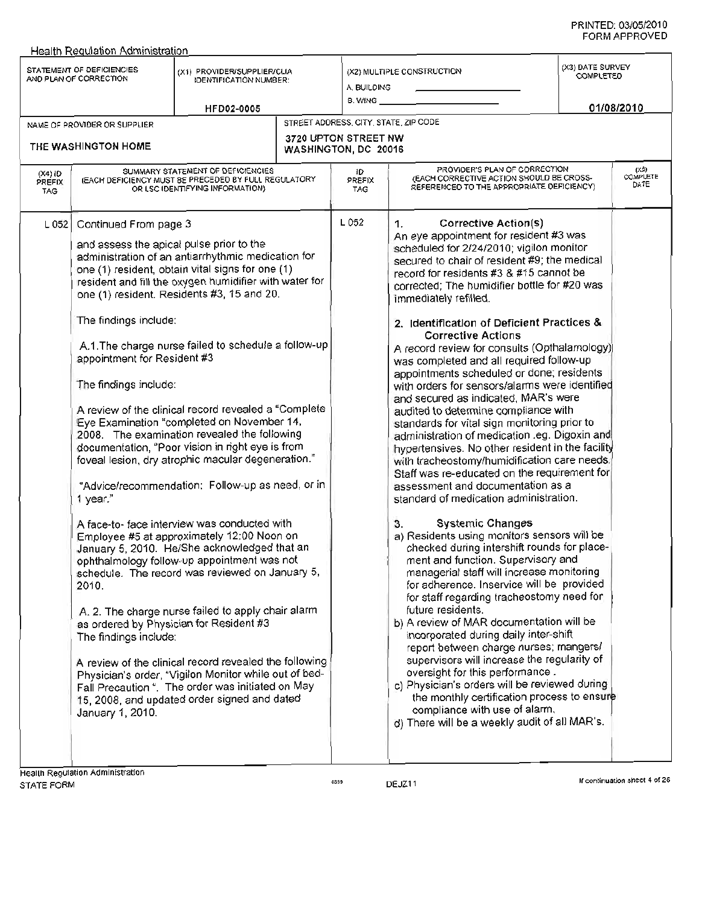|                                   | <b>Health Regulation Administration</b>                                                                                                                                                                              |                                                                                                                                                                                                                                                                                                                                                                                                                                                                                                                                                                                                                                                                                                                                                                                                                                                                                                                                                                                                                                                                                                                                                                      |  |                                                     |                                                                                                                                                                                                                                                                                                                                                                                                                                                                                                                                                                                                                                                                                                                                                                                                                                                                                                                                                                                                                                                                                                                                                                                                                                                                                                                                                                                                                                                                                                                                                                                                                                                                                                                           |                                                    |                          |  |
|-----------------------------------|----------------------------------------------------------------------------------------------------------------------------------------------------------------------------------------------------------------------|----------------------------------------------------------------------------------------------------------------------------------------------------------------------------------------------------------------------------------------------------------------------------------------------------------------------------------------------------------------------------------------------------------------------------------------------------------------------------------------------------------------------------------------------------------------------------------------------------------------------------------------------------------------------------------------------------------------------------------------------------------------------------------------------------------------------------------------------------------------------------------------------------------------------------------------------------------------------------------------------------------------------------------------------------------------------------------------------------------------------------------------------------------------------|--|-----------------------------------------------------|---------------------------------------------------------------------------------------------------------------------------------------------------------------------------------------------------------------------------------------------------------------------------------------------------------------------------------------------------------------------------------------------------------------------------------------------------------------------------------------------------------------------------------------------------------------------------------------------------------------------------------------------------------------------------------------------------------------------------------------------------------------------------------------------------------------------------------------------------------------------------------------------------------------------------------------------------------------------------------------------------------------------------------------------------------------------------------------------------------------------------------------------------------------------------------------------------------------------------------------------------------------------------------------------------------------------------------------------------------------------------------------------------------------------------------------------------------------------------------------------------------------------------------------------------------------------------------------------------------------------------------------------------------------------------------------------------------------------------|----------------------------------------------------|--------------------------|--|
|                                   | STATEMENT OF DEFICIENCIES<br>AND PLAN OF CORRECTION                                                                                                                                                                  | (X1) PROVIDER/SUPPLIER/CLIA<br><b>IDENTIFICATION NUMBER:</b><br>HFD02-0005                                                                                                                                                                                                                                                                                                                                                                                                                                                                                                                                                                                                                                                                                                                                                                                                                                                                                                                                                                                                                                                                                           |  |                                                     | (X2) MULTIPLE CONSTRUCTION<br>A. BUILDING<br>8. WING __                                                                                                                                                                                                                                                                                                                                                                                                                                                                                                                                                                                                                                                                                                                                                                                                                                                                                                                                                                                                                                                                                                                                                                                                                                                                                                                                                                                                                                                                                                                                                                                                                                                                   | (X3) DATE SURVEY<br><b>COMPLETED</b><br>01/08/2010 |                          |  |
|                                   | NAME OF PROVIDER OR SUPPLIER                                                                                                                                                                                         |                                                                                                                                                                                                                                                                                                                                                                                                                                                                                                                                                                                                                                                                                                                                                                                                                                                                                                                                                                                                                                                                                                                                                                      |  | STREET ADDRESS, CITY, STATE, ZIP CODE               |                                                                                                                                                                                                                                                                                                                                                                                                                                                                                                                                                                                                                                                                                                                                                                                                                                                                                                                                                                                                                                                                                                                                                                                                                                                                                                                                                                                                                                                                                                                                                                                                                                                                                                                           |                                                    |                          |  |
|                                   | THE WASHINGTON HOME                                                                                                                                                                                                  |                                                                                                                                                                                                                                                                                                                                                                                                                                                                                                                                                                                                                                                                                                                                                                                                                                                                                                                                                                                                                                                                                                                                                                      |  | <b>3720 UPTON STREET NW</b><br>WASHINGTON, DC 20016 |                                                                                                                                                                                                                                                                                                                                                                                                                                                                                                                                                                                                                                                                                                                                                                                                                                                                                                                                                                                                                                                                                                                                                                                                                                                                                                                                                                                                                                                                                                                                                                                                                                                                                                                           |                                                    |                          |  |
| $(X4)$ ID<br>PREFIX<br><b>TAG</b> |                                                                                                                                                                                                                      | SUMMARY STATEMENT OF DEFICIENCIES<br>(EACH DEFICIENCY MUST BE PRECEDED BY FULL REGULATORY<br>OR LSC IDENTIFYING INFORMATION)                                                                                                                                                                                                                                                                                                                                                                                                                                                                                                                                                                                                                                                                                                                                                                                                                                                                                                                                                                                                                                         |  | 1D<br>PREFIX<br>TAG                                 | PROVIDER'S PLAN OF CORRECTION<br>(EACH CORRECTIVE ACTION SHOULD BE CROSS-<br>REFERENCED TO THE APPROPRIATE DEFICIENCY)                                                                                                                                                                                                                                                                                                                                                                                                                                                                                                                                                                                                                                                                                                                                                                                                                                                                                                                                                                                                                                                                                                                                                                                                                                                                                                                                                                                                                                                                                                                                                                                                    |                                                    | (XS)<br>COMPLETE<br>DATE |  |
| L052                              | Continued From page 3<br>and assess the apical pulse prior to the<br>The findings include:<br>appointment for Resident #3<br>The findings include:<br>1 year."<br>2010.<br>The findings include:<br>January 1, 2010. | administration of an antiarrhythmic medication for<br>one (1) resident, obtain vital signs for one (1)<br>resident and fill the oxygen humidifier with water for<br>one (1) resident. Residents #3, 15 and 20.<br>A.1. The charge nurse failed to schedule a follow-up<br>A review of the clinical record revealed a "Complete"<br>Eye Examination "completed on November 14,<br>2008. The examination revealed the following<br>documentation, "Poor vision in right eye is from<br>foveal lesion, dry atrophic macular degeneration."<br>"Advice/recommendation: Follow-up as need, or in<br>A face-to- face interview was conducted with<br>Employee #5 at approximately 12:00 Noon on<br>January 5, 2010. He/She acknowledged that an<br>ophthalmology follow-up appointment was not<br>schedule. The record was reviewed on January 5,<br>A. 2. The charge nurse failed to apply chair alarm<br>as ordered by Physician for Resident #3<br>A review of the clinical record revealed the following<br>Physician's order, "Vigilon Monitor while out of bed-<br>Fall Precaution ". The order was initiated on May<br>15, 2008, and updated order signed and dated |  | L 052                                               | <b>Corrective Action(s)</b><br>1.<br>An eye appointment for resident #3 was<br>scheduled for 2/24/2010; vigilon monitor<br>secured to chair of resident #9; the medical<br>record for residents #3 & #15 cannot be<br>corrected; The humidifier bottle for #20 was<br>immediately refilled.<br>2. Identification of Deficient Practices &<br><b>Corrective Actions</b><br>A record review for consults (Opthalamology)<br>was completed and all required follow-up<br>appointments scheduled or done; residents<br>with orders for sensors/alarms were identified<br>and secured as indicated, MAR's were<br>audited to determine compliance with<br>standards for vital sign monitoring prior to<br>administration of medication .eg. Digoxin and<br>hypertensives. No other resident in the facility<br>with tracheostomy/humidification care needs.<br>Staff was re-educated on the requirement for<br>assessment and documentation as a<br>standard of medication administration.<br><b>Systemic Changes</b><br>3.<br>a) Residents using monitors sensors will be<br>checked during intershift rounds for place-<br>ment and function. Supervisory and<br>managerial staff will increase monitoring<br>for adherence. Inservice will be provided<br>for staff regarding tracheostomy need for<br>future residents.<br>b) A review of MAR documentation will be<br>incorporated during daily inter-shift<br>report between charge nurses; mangers/<br>supervisors will increase the regularity of<br>oversight for this performance.<br>c) Physician's orders will be reviewed during<br>the monthly certification process to ensure<br>compliance with use of alarm.<br>d) There will be a weekly audit of all MAR's. |                                                    |                          |  |
|                                   | Health Regulation Administration                                                                                                                                                                                     |                                                                                                                                                                                                                                                                                                                                                                                                                                                                                                                                                                                                                                                                                                                                                                                                                                                                                                                                                                                                                                                                                                                                                                      |  |                                                     |                                                                                                                                                                                                                                                                                                                                                                                                                                                                                                                                                                                                                                                                                                                                                                                                                                                                                                                                                                                                                                                                                                                                                                                                                                                                                                                                                                                                                                                                                                                                                                                                                                                                                                                           |                                                    |                          |  |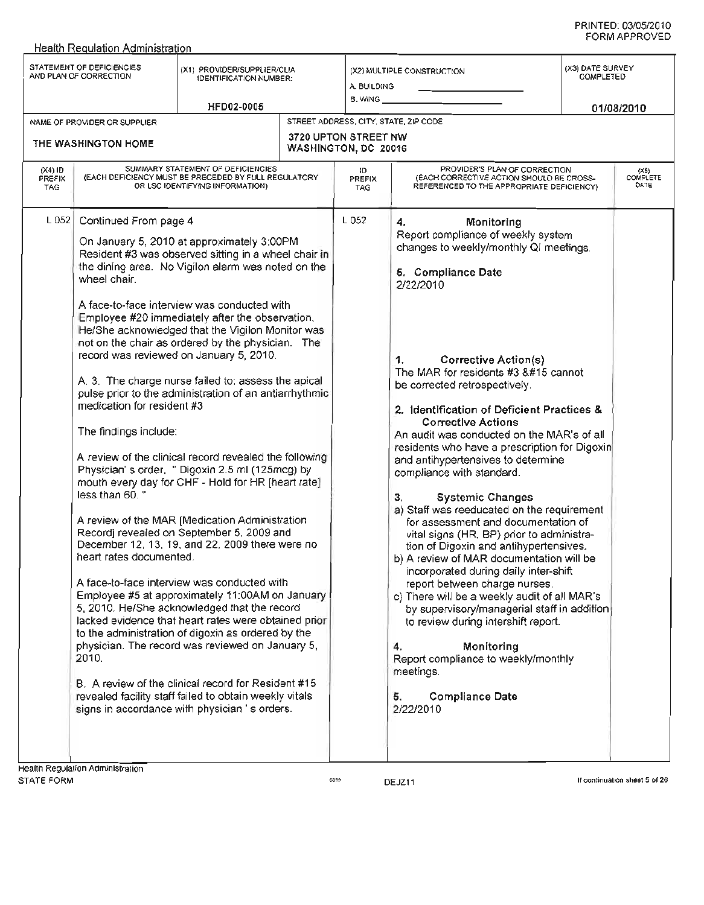#### STATEMENT OF DEFICIENCIES STATEMENT OF DEFICIENCIES (X1) PROVIDER/SUPPLIER/CLIA<br>AND PLAN OF CORRECTION IDENTIFICATION NUMBER: HFD02-0005 (X2) MULTIPLE CONSTRUCTION A. BUILDING B. WING *01/08/2010* (X3) DATE SURVEY COMPLETED STREET ADDRESS, CITY, STATE, ZIP CODE 3720 UPTON STREET NW WASHINGTON, DC 20016 10 PREFIX TAG NAME OF PROVIDER OR SUPPLIER THE WASHINGTON HOME (X4) 10 PREFIX TAG SUMMARY STATEMENT OF DEFICIENCIES (EACH DEFICIENCY MUST BE PRECEDED BY FULL REGULATORY OR LSC IDENTIFYING INFORMATION) (X5)<br>COMPLET **DATE** L 052 Continued From page 4 L 052 On January 5, 2010 at approximately 3:00PM Resident #3 was observed sitting in a wheel chair in the dining area. No Vigilon alarm was noted on the wheel chair. A face-to-face interview was conducted with Employee #20 immediately after the observation. He/She acknowledged that the Vigilon Monitor was not on the chair as ordered by the physician. The record was reviewed on January 5, 2010. A. 3. The charge nurse failed to: assess the apical pulse prior to the administration of an antiarrhythmic medication for resident #3 The findings include: A review of the clinical record revealed the following Physician's order, " Digoxin 2.5 ml (125mcg) by mouth every day for CHF - Hold for HR [heart rate] less than 60. " A review of the MAR [Medication Administration Record] revealed on September 5, 2009 and December 12,13,19, and 22,2009 there were no heart rates documented. A face-to-face interview was conducted with Employee #5 at approximately 11:OOAMon January 5, 2010. He/She acknowledged that the record lacked evidence that heart rates were obtained prior to the administration of digoxin as ordered by the physician. The record was reviewed on January 5, 2010. B. A review of the clinical record for Resident #15 revealed facility staff failed to obtain weekly vitals signs in accordance with physician's orders. PROVIDER'S PLAN OF CORRECTION (EACH CORRECTIVE ACTION SHOULD BE CROSS-REFERENCED TO THE APPROPRIATE DEFICIENCY) 4. Monitoring Report compliance of weekly system changes to weekly/monthly QI meetings. 5. Compliance Date 2/22/2010 1. Corrective Action(s) The MAR for residents  $#3$   $\&\#15$  cannot be corrected retrospectively. 2. Identification of Deficient Practices & Corrective Actions An audit was conducted on the MAR's of all residents who have a prescription for Digoxin and antihypertensives to determine compliance with standard. 3. Systemic Changes a) Staff was reeducated on the requirement for assessment and documentation of vital signs (HR, BP) prior to administration of Digoxin and antihypertensives. b) A review of MAR documentation will be incorporated during daily inter-shift report between charge nurses. c) There will be a weekly audit of all MAR's by supervisory/managerial staff in addition to review during intershift report. 4. Monitoring Report compliance to weekly/monthly meetings. 5. Compliance Date 2/22/2010

Health Reaulation Administration

DEJZ11 If continuation sheet 5 of 26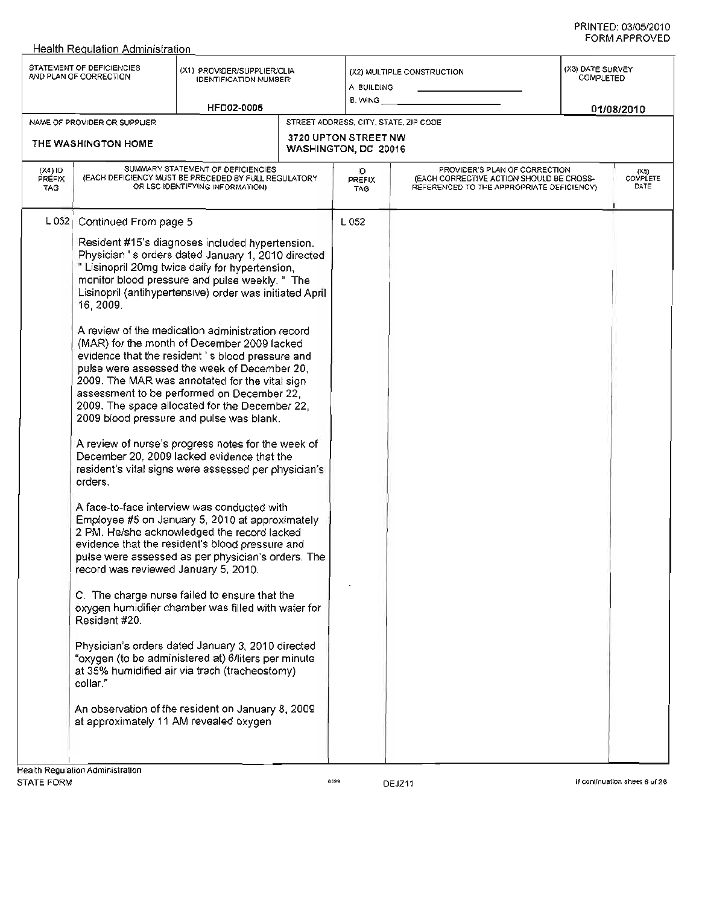|                            | <b>Health Requlation Administration</b>                                                                                                                      |                                                                                                                                                                                                                                                                                                                                                                                                                                                                                                                                                                                                                                                                                                                                                                                                                                                                                                                                                                                                                                                                                                                                                                                                                                                                                                                                                                                                                            |  |                                              |                                                                                                                        |                                                    |                                 |
|----------------------------|--------------------------------------------------------------------------------------------------------------------------------------------------------------|----------------------------------------------------------------------------------------------------------------------------------------------------------------------------------------------------------------------------------------------------------------------------------------------------------------------------------------------------------------------------------------------------------------------------------------------------------------------------------------------------------------------------------------------------------------------------------------------------------------------------------------------------------------------------------------------------------------------------------------------------------------------------------------------------------------------------------------------------------------------------------------------------------------------------------------------------------------------------------------------------------------------------------------------------------------------------------------------------------------------------------------------------------------------------------------------------------------------------------------------------------------------------------------------------------------------------------------------------------------------------------------------------------------------------|--|----------------------------------------------|------------------------------------------------------------------------------------------------------------------------|----------------------------------------------------|---------------------------------|
|                            | STATEMENT OF DEFICIENCIES<br>(X1) PROVIDER/SUPPLIER/CLIA<br>AND PLAN OF CORRECTION<br><b>IDENTIFICATION NUMBER:</b><br><b>HFD02-0005</b>                     |                                                                                                                                                                                                                                                                                                                                                                                                                                                                                                                                                                                                                                                                                                                                                                                                                                                                                                                                                                                                                                                                                                                                                                                                                                                                                                                                                                                                                            |  | A BUILDING<br>B. WING                        | (X2) MULTIPLE CONSTRUCTION                                                                                             | (X3) DATE SURVEY<br><b>COMPLETED</b><br>01/08/2010 |                                 |
|                            | NAME OF PROVIDER OR SUPPLIER                                                                                                                                 |                                                                                                                                                                                                                                                                                                                                                                                                                                                                                                                                                                                                                                                                                                                                                                                                                                                                                                                                                                                                                                                                                                                                                                                                                                                                                                                                                                                                                            |  | STREET ADDRESS, CITY, STATE, ZIP CODE        |                                                                                                                        |                                                    |                                 |
|                            | THE WASHINGTON HOME                                                                                                                                          |                                                                                                                                                                                                                                                                                                                                                                                                                                                                                                                                                                                                                                                                                                                                                                                                                                                                                                                                                                                                                                                                                                                                                                                                                                                                                                                                                                                                                            |  | 3720 UPTON STREET NW<br>WASHINGTON, DC 20016 |                                                                                                                        |                                                    |                                 |
| $(X4)$ ID<br>PREFIX<br>TAG | SUMMARY STATEMENT OF DEFICIENCIES<br>(EACH DEFICIENCY MUST BE PRECEDED BY FULL REGULATORY<br>OR LSC IDENTIFYING INFORMATION)                                 |                                                                                                                                                                                                                                                                                                                                                                                                                                                                                                                                                                                                                                                                                                                                                                                                                                                                                                                                                                                                                                                                                                                                                                                                                                                                                                                                                                                                                            |  | Ю<br>PREFIX<br><b>TAG</b>                    | PROVIDER'S PLAN OF CORRECTION<br>(EACH CORRECTIVE ACTION SHOULD BE CROSS-<br>REFERENCED TO THE APPROPRIATE DEFICIENCY) |                                                    | (X5)<br><b>COMPLETE</b><br>DATE |
| $L$ 052                    | Continued From page 5<br>16, 2009.<br>orders.<br>record was reviewed January 5, 2010.<br>Resident #20.<br>collar."<br>at approximately 11 AM revealed oxygen | Resident #15's diagnoses included hypertension.<br>Physician 's orders dated January 1, 2010 directed<br>" Lisinopril 20mg twice daily for hypertension,<br>monitor blood pressure and pulse weekly. " The<br>Lisinopril (antihypertensive) order was initiated April<br>A review of the medication administration record<br>(MAR) for the month of December 2009 lacked<br>evidence that the resident's blood pressure and<br>pulse were assessed the week of December 20,<br>2009. The MAR was annotated for the vital sign<br>assessment to be performed on December 22,<br>2009. The space allocated for the December 22,<br>2009 blood pressure and pulse was blank.<br>A review of nurse's progress notes for the week of<br>December 20, 2009 lacked evidence that the<br>resident's vital signs were assessed per physician's<br>A face-to-face interview was conducted with<br>Employee #5 on January 5, 2010 at approximately<br>2 PM. He/she acknowledged the record lacked<br>evidence that the resident's blood pressure and<br>pulse were assessed as per physician's orders. The<br>C. The charge nurse failed to ensure that the<br>oxygen humidifier chamber was filled with water for<br>Physician's orders dated January 3, 2010 directed<br>"oxygen (to be administered at) 6/liters per minute<br>at 35% humidified air via trach (tracheostomy)<br>An observation of the resident on January 8, 2009 |  | L 052                                        |                                                                                                                        |                                                    |                                 |
|                            |                                                                                                                                                              |                                                                                                                                                                                                                                                                                                                                                                                                                                                                                                                                                                                                                                                                                                                                                                                                                                                                                                                                                                                                                                                                                                                                                                                                                                                                                                                                                                                                                            |  |                                              |                                                                                                                        |                                                    |                                 |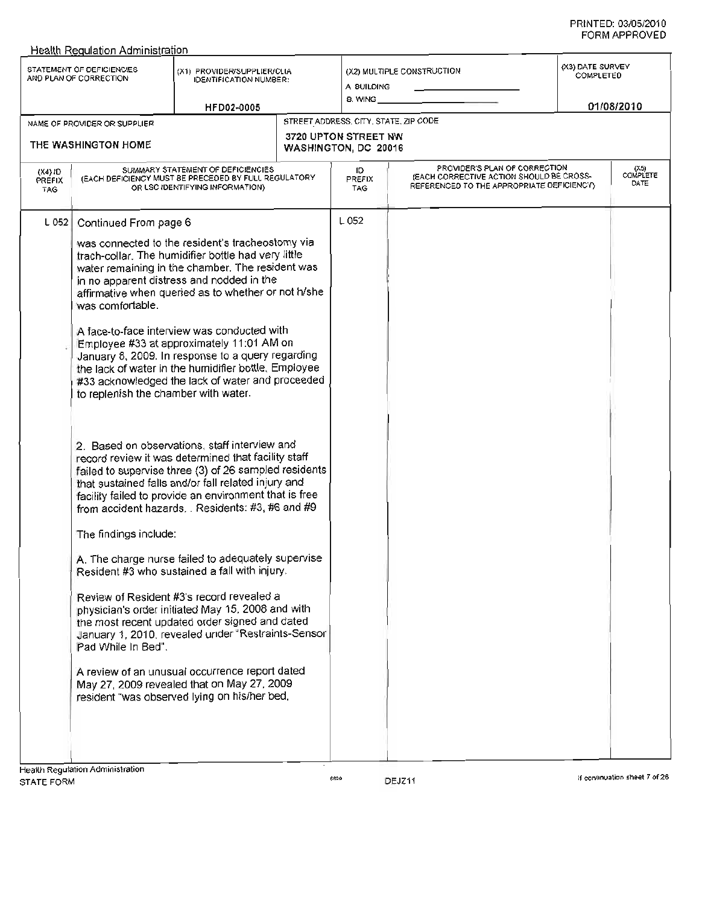|                                   | <b>Health Regulation Administration</b><br>STATEMENT OF DEFICIENCIES                                                             | (X1) PROVIDER/SUPPLIER/CLIA                                                                                                                                                                                                                                                                                                                                                                                                                                                                                                                                                                                                                                                                                                                                                                                                                                                                                                                                                                                                                                                                                                                                                                                                                                                                                                        |                                              | (X2) MULTIPLE CONSTRUCTION                                                                                             |           | (X3) DATE SURVEY              |  |
|-----------------------------------|----------------------------------------------------------------------------------------------------------------------------------|------------------------------------------------------------------------------------------------------------------------------------------------------------------------------------------------------------------------------------------------------------------------------------------------------------------------------------------------------------------------------------------------------------------------------------------------------------------------------------------------------------------------------------------------------------------------------------------------------------------------------------------------------------------------------------------------------------------------------------------------------------------------------------------------------------------------------------------------------------------------------------------------------------------------------------------------------------------------------------------------------------------------------------------------------------------------------------------------------------------------------------------------------------------------------------------------------------------------------------------------------------------------------------------------------------------------------------|----------------------------------------------|------------------------------------------------------------------------------------------------------------------------|-----------|-------------------------------|--|
|                                   | AND PLAN OF CORRECTION                                                                                                           | <b>IDENTIFICATION NUMBER:</b>                                                                                                                                                                                                                                                                                                                                                                                                                                                                                                                                                                                                                                                                                                                                                                                                                                                                                                                                                                                                                                                                                                                                                                                                                                                                                                      | A BUILDING                                   |                                                                                                                        | COMPLETED |                               |  |
|                                   |                                                                                                                                  | HFD02-0005                                                                                                                                                                                                                                                                                                                                                                                                                                                                                                                                                                                                                                                                                                                                                                                                                                                                                                                                                                                                                                                                                                                                                                                                                                                                                                                         | 8. WING __                                   |                                                                                                                        |           | 01/08/2010                    |  |
|                                   | NAME OF PROVIDER OR SUPPLIER                                                                                                     |                                                                                                                                                                                                                                                                                                                                                                                                                                                                                                                                                                                                                                                                                                                                                                                                                                                                                                                                                                                                                                                                                                                                                                                                                                                                                                                                    | STREET ADDRESS, CITY, STATE, ZIP CODE        |                                                                                                                        |           |                               |  |
|                                   | THE WASHINGTON HOME                                                                                                              |                                                                                                                                                                                                                                                                                                                                                                                                                                                                                                                                                                                                                                                                                                                                                                                                                                                                                                                                                                                                                                                                                                                                                                                                                                                                                                                                    | 3720 UPTON STREET NW<br>WASHINGTON, DC 20016 |                                                                                                                        |           |                               |  |
| $(X4)$ ID<br>PREFIX<br><b>TAG</b> |                                                                                                                                  | SUMMARY STATEMENT OF DEFICIENCIES<br>(EACH DEFICIENCY MUST BE PRECEDED BY FULL REGULATORY<br>OR LSC IDENTIFYING INFORMATION)                                                                                                                                                                                                                                                                                                                                                                                                                                                                                                                                                                                                                                                                                                                                                                                                                                                                                                                                                                                                                                                                                                                                                                                                       | ID.<br>PREFIX<br><b>TAG</b>                  | PROVIDER'S PLAN OF CORRECTION<br>(EACH CORRECTIVE ACTION SHOULD BE CROSS-<br>REFERENCED TO THE APPROPRIATE DEFICIENCY) |           | (X5)<br>COMPLETE<br>DATE      |  |
| L 052                             | Continued From page 6<br>was comfortable.<br>to replenish the chamber with water.<br>The findings include:<br>Pad While In Bed". | was connected to the resident's tracheostomy via<br>trach-collar. The humidifier bottle had very little<br>water remaining in the chamber. The resident was<br>in no apparent distress and nodded in the<br>affirmative when queried as to whether or not h/she<br>A face-to-face interview was conducted with<br>Employee #33 at approximately 11:01 AM on<br>January 8, 2009. In response to a query regarding<br>the lack of water in the humidifier bottle, Employee<br>#33 acknowledged the lack of water and proceeded<br>2. Based on observations, staff interview and<br>record review it was determined that facility staff<br>failed to supervise three (3) of 26 sampled residents<br>that sustained falls and/or fall related injury and<br>facility failed to provide an environment that is free<br>from accident hazards. Residents: #3, #6 and #9<br>A. The charge nurse failed to adequately supervise<br>Resident #3 who sustained a fall with injury.<br>Review of Resident #3's record revealed a<br>physician's order initiated May 15, 2008 and with<br>the most recent updated order signed and dated<br>January 1, 2010, revealed under "Restraints-Sensor<br>A review of an unusual occurrence report dated<br>May 27, 2009 revealed that on May 27, 2009<br>resident "was observed lying on his/her bed, | L052                                         |                                                                                                                        |           |                               |  |
| STATE FORM                        | Health Regulation Administration                                                                                                 |                                                                                                                                                                                                                                                                                                                                                                                                                                                                                                                                                                                                                                                                                                                                                                                                                                                                                                                                                                                                                                                                                                                                                                                                                                                                                                                                    | 6699                                         | DEJZ11                                                                                                                 |           | If continuation sheet 7 of 26 |  |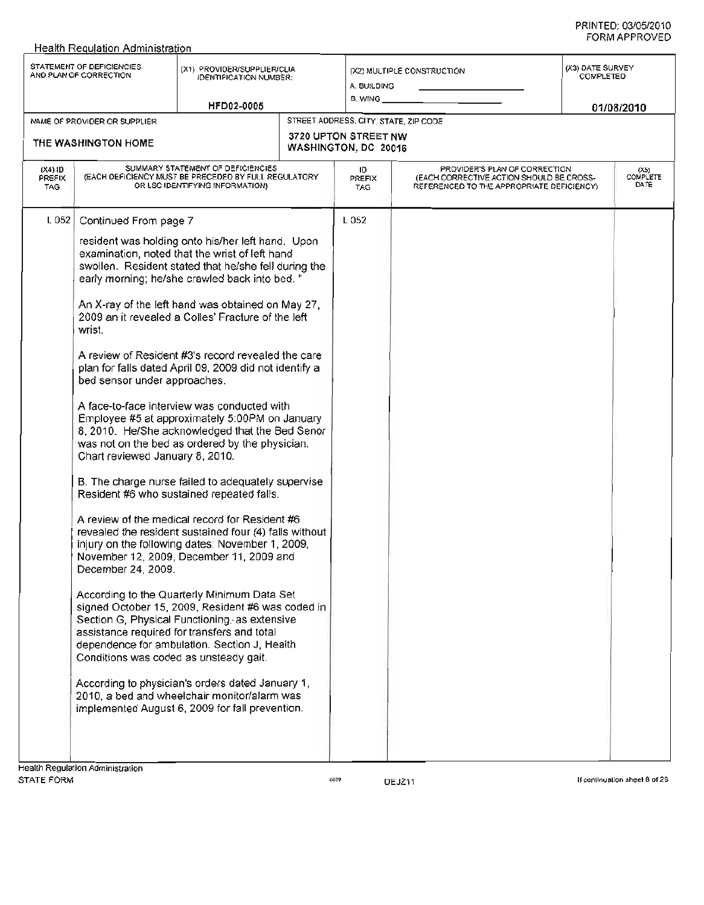| STATEMENT OF DEFICIENCIES<br>(X3) DATE SURVEY<br>(X1) PROVIDER/SUPPLIER/CLIA<br>(X2) MULTIPLE CONSTRUCTION<br>AND PLAN OF CORRECTION<br><b>COMPLETED</b><br><b>IDENTIFICATION NUMBER:</b><br>A. BUILDING<br>8. WING _<br>HFD02-0005<br>01/08/2010<br>STREET ADDRESS, CITY, STATE, ZIP CODE<br>NAME OF PROVIDER OR SUPPLIER<br>3720 UPTON STREET NW<br>THE WASHINGTON HOME<br>WASHINGTON, DC 20016<br>SUMMARY STATEMENT OF DEFICIENCIES<br>PROVIDER'S PLAN OF CORRECTION<br>$(X4)$ ID<br>ID.<br>(X5)<br>(EACH DEFICIENCY MUST BE PRECEDED BY FULL REGULATORY<br>(EACH CORRECTIVE ACTION SHOULD BE CROSS-<br>PREFIX<br>PREFIX<br>DATE<br>OR LSC IDENTIFYING INFORMATION)<br>REFERENCED TO THE APPROPRIATE DEFICIENCY)<br>TAG.<br>TAG.<br>L 052<br>L052<br>Continued From page 7<br>resident was holding onto his/her left hand. Upon<br>examination, noted that the wrist of left hand<br>swollen. Resident stated that he/she fell during the<br>early morning; he/she crawled back into bed.<br>An X-ray of the left hand was obtained on May 27,<br>2009 an it revealed a Colles' Fracture of the left<br>wrist.<br>A review of Resident #3's record revealed the care<br>plan for falls dated April 09, 2009 did not identify a<br>bed sensor under approaches.<br>A face-to-face interview was conducted with<br>Employee #5 at approximately 5:00PM on January<br>8, 2010. He/She acknowledged that the Bed Senor<br>was not on the bed as ordered by the physician.<br>Chart reviewed January 8, 2010.<br>B. The charge nurse failed to adequately supervise.<br>Resident #6 who sustained repeated falls.<br>A review of the medical record for Resident #6<br>revealed the resident sustained four (4) falls without<br>injury on the following dates: November 1, 2009,<br>November 12, 2009, December 11, 2009 and<br>December 24, 2009. | Health Requiation Administration |  |  |  |  |          |
|---------------------------------------------------------------------------------------------------------------------------------------------------------------------------------------------------------------------------------------------------------------------------------------------------------------------------------------------------------------------------------------------------------------------------------------------------------------------------------------------------------------------------------------------------------------------------------------------------------------------------------------------------------------------------------------------------------------------------------------------------------------------------------------------------------------------------------------------------------------------------------------------------------------------------------------------------------------------------------------------------------------------------------------------------------------------------------------------------------------------------------------------------------------------------------------------------------------------------------------------------------------------------------------------------------------------------------------------------------------------------------------------------------------------------------------------------------------------------------------------------------------------------------------------------------------------------------------------------------------------------------------------------------------------------------------------------------------------------------------------------------------------------------------------------------------------------------------------------|----------------------------------|--|--|--|--|----------|
|                                                                                                                                                                                                                                                                                                                                                                                                                                                                                                                                                                                                                                                                                                                                                                                                                                                                                                                                                                                                                                                                                                                                                                                                                                                                                                                                                                                                                                                                                                                                                                                                                                                                                                                                                                                                                                                   |                                  |  |  |  |  |          |
|                                                                                                                                                                                                                                                                                                                                                                                                                                                                                                                                                                                                                                                                                                                                                                                                                                                                                                                                                                                                                                                                                                                                                                                                                                                                                                                                                                                                                                                                                                                                                                                                                                                                                                                                                                                                                                                   |                                  |  |  |  |  |          |
|                                                                                                                                                                                                                                                                                                                                                                                                                                                                                                                                                                                                                                                                                                                                                                                                                                                                                                                                                                                                                                                                                                                                                                                                                                                                                                                                                                                                                                                                                                                                                                                                                                                                                                                                                                                                                                                   |                                  |  |  |  |  |          |
|                                                                                                                                                                                                                                                                                                                                                                                                                                                                                                                                                                                                                                                                                                                                                                                                                                                                                                                                                                                                                                                                                                                                                                                                                                                                                                                                                                                                                                                                                                                                                                                                                                                                                                                                                                                                                                                   |                                  |  |  |  |  | COMPLETE |
| According to the Quarterly Minimum Data Set<br>signed October 15, 2009, Resident #6 was coded in<br>Section G, Physical Functioning, as extensive<br>assistance required for transfers and total<br>dependence for ambulation. Section J, Health<br>Conditions was coded as unsteady gait.<br>According to physician's orders dated January 1,<br>2010, a bed and wheelchair monitor/alarm was<br>implemented August 6, 2009 for fall prevention.                                                                                                                                                                                                                                                                                                                                                                                                                                                                                                                                                                                                                                                                                                                                                                                                                                                                                                                                                                                                                                                                                                                                                                                                                                                                                                                                                                                                 |                                  |  |  |  |  |          |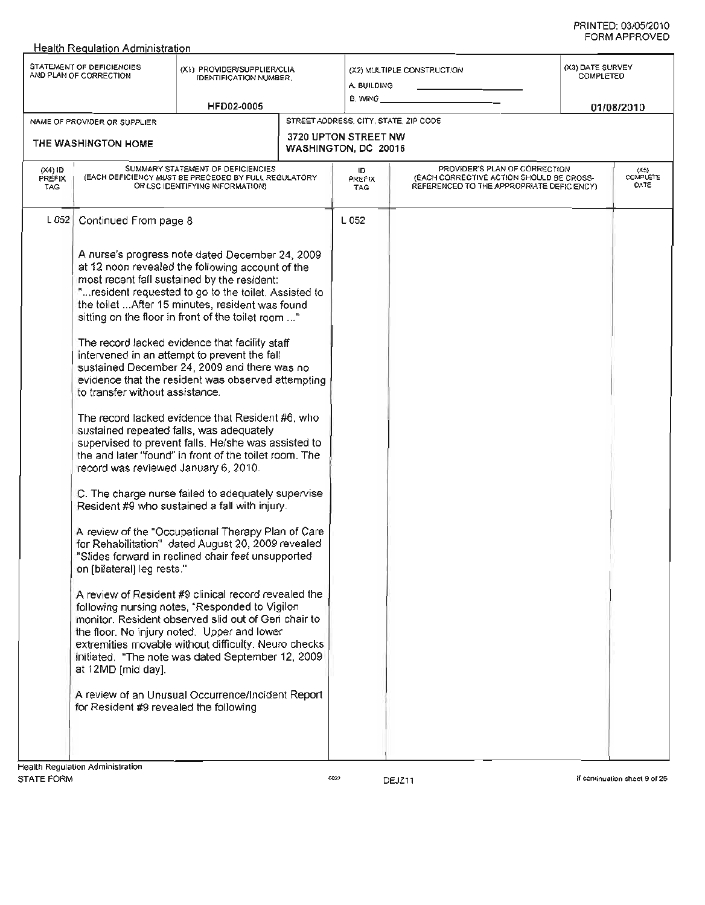|                                   |                                                                                                                                                                                                | <b>Health Requlation Administration</b>                                                                                                                                                                                                                                                                                                                                                                                                                                                                                                                                                                                                                                                                                                                                                                                                                                                                                                                                                                                                                                                                                                                                                                                                                                                                                                                                                                      |  |                                                                                       |                                                                                                                        |  |                                                    |  |
|-----------------------------------|------------------------------------------------------------------------------------------------------------------------------------------------------------------------------------------------|--------------------------------------------------------------------------------------------------------------------------------------------------------------------------------------------------------------------------------------------------------------------------------------------------------------------------------------------------------------------------------------------------------------------------------------------------------------------------------------------------------------------------------------------------------------------------------------------------------------------------------------------------------------------------------------------------------------------------------------------------------------------------------------------------------------------------------------------------------------------------------------------------------------------------------------------------------------------------------------------------------------------------------------------------------------------------------------------------------------------------------------------------------------------------------------------------------------------------------------------------------------------------------------------------------------------------------------------------------------------------------------------------------------|--|---------------------------------------------------------------------------------------|------------------------------------------------------------------------------------------------------------------------|--|----------------------------------------------------|--|
|                                   | STATEMENT OF DEFICIENCIES<br>(X1) PROVIDER/SUPPLIER/CLIA<br>AND PLAN OF CORRECTION<br><b>IDENTIFICATION NUMBER.</b><br><b>HFD02-0005</b>                                                       |                                                                                                                                                                                                                                                                                                                                                                                                                                                                                                                                                                                                                                                                                                                                                                                                                                                                                                                                                                                                                                                                                                                                                                                                                                                                                                                                                                                                              |  | A. BUILDING<br>B. WING _                                                              | (X2) MULTIPLE CONSTRUCTION                                                                                             |  | (X3) DATE SURVEY<br><b>COMPLETED</b><br>01/08/2010 |  |
|                                   |                                                                                                                                                                                                |                                                                                                                                                                                                                                                                                                                                                                                                                                                                                                                                                                                                                                                                                                                                                                                                                                                                                                                                                                                                                                                                                                                                                                                                                                                                                                                                                                                                              |  |                                                                                       |                                                                                                                        |  |                                                    |  |
|                                   | NAME OF PROVIDER OR SUPPLIER<br>THE WASHINGTON HOME                                                                                                                                            |                                                                                                                                                                                                                                                                                                                                                                                                                                                                                                                                                                                                                                                                                                                                                                                                                                                                                                                                                                                                                                                                                                                                                                                                                                                                                                                                                                                                              |  | STREET ADDRESS, CITY, STATE, ZIP CODE<br>3720 UPTON STREET NW<br>WASHINGTON, DC 20016 |                                                                                                                        |  |                                                    |  |
| $(X4)$ ID<br><b>PREFIX</b><br>TAG |                                                                                                                                                                                                | SUMMARY STATEMENT OF DEFICIENCIES<br>(EACH DEFICIENCY MUST BE PRECEDED BY FULL REGULATORY<br>OR LSC IDENTIFYING INFORMATION)                                                                                                                                                                                                                                                                                                                                                                                                                                                                                                                                                                                                                                                                                                                                                                                                                                                                                                                                                                                                                                                                                                                                                                                                                                                                                 |  | ID<br>PREFIX<br><b>TAG</b>                                                            | PROVIDER'S PLAN OF CORRECTION<br>(EACH CORRECTIVE ACTION SHOULD BE CROSS-<br>REFERENCED TO THE APPROPRIATE DEFICIENCY) |  | (X5)<br>COMPLETE<br>DATE                           |  |
| L052                              | Continued From page 8<br>to transfer without assistance.<br>record was reviewed January 6, 2010.<br>on (bilateral) leg rests."<br>at 12MD [mid day].<br>for Resident #9 revealed the following | A nurse's progress note dated December 24, 2009<br>at 12 noon revealed the following account of the<br>most recent fall sustained by the resident:<br>" resident requested to go to the toilet. Assisted to<br>the toilet  After 15 minutes, resident was found<br>sitting on the floor in front of the toilet room "<br>The record lacked evidence that facility staff<br>intervened in an attempt to prevent the fall<br>sustained December 24, 2009 and there was no<br>evidence that the resident was observed attempting<br>The record lacked evidence that Resident #6, who<br>sustained repeated falls, was adequately<br>supervised to prevent falls. He/she was assisted to<br>the and later "found" in front of the toilet room. The<br>C. The charge nurse failed to adequately supervise<br>Resident #9 who sustained a fall with injury.<br>A review of the "Occupational Therapy Plan of Care"<br>for Rehabilitation" dated August 20, 2009 revealed<br>"Slides forward in reclined chair feet unsupported<br>A review of Resident #9 clinical record revealed the<br>following nursing notes, "Responded to Vigilon<br>monitor. Resident observed slid out of Geri chair to<br>the floor. No injury noted. Upper and lower<br>extremities movable without difficulty. Neuro checks<br>initiated. "The note was dated September 12, 2009.<br>A review of an Unusual Occurrence/Incident Report |  | L 052                                                                                 |                                                                                                                        |  |                                                    |  |
|                                   |                                                                                                                                                                                                |                                                                                                                                                                                                                                                                                                                                                                                                                                                                                                                                                                                                                                                                                                                                                                                                                                                                                                                                                                                                                                                                                                                                                                                                                                                                                                                                                                                                              |  |                                                                                       |                                                                                                                        |  |                                                    |  |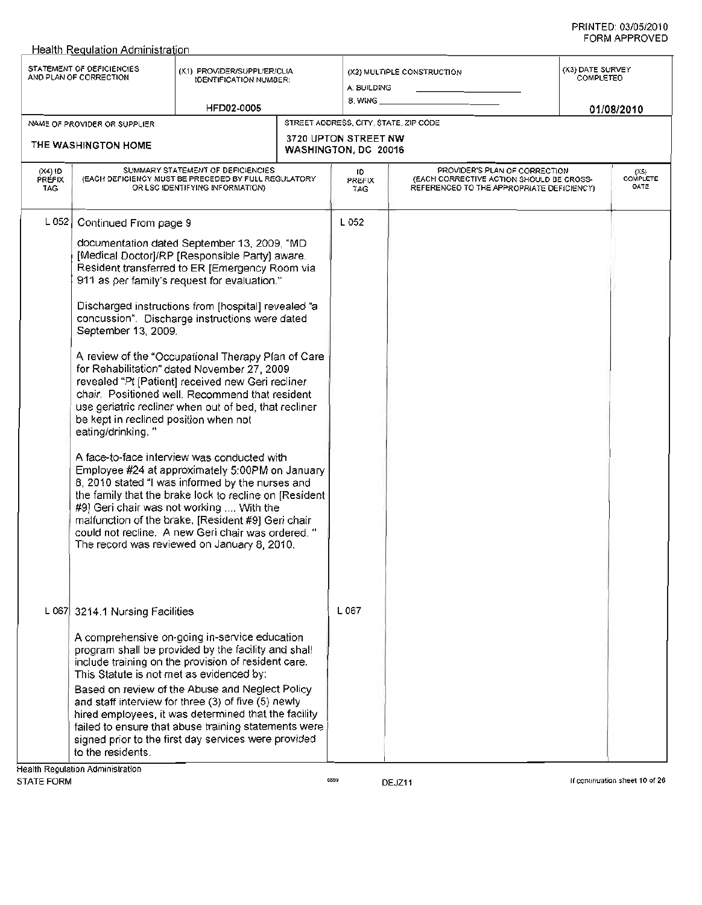|                                   | STATEMENT OF DEFICIENCIES<br>AND PLAN OF CORRECTION                                                                          | (X1) PROVIDER/SUPPLIER/CLIA<br><b>IDENTIFICATION NUMBER:</b>                                                                                                                                                                                                                                                                                                                                                                                                                                                                                                                                                                                                                                                                                                                               |  | A. BUILDING                                  | (X2) MULTIPLE CONSTRUCTION                                                                                             | (X3) DATE SURVEY<br>COMPLETED |                            |
|-----------------------------------|------------------------------------------------------------------------------------------------------------------------------|--------------------------------------------------------------------------------------------------------------------------------------------------------------------------------------------------------------------------------------------------------------------------------------------------------------------------------------------------------------------------------------------------------------------------------------------------------------------------------------------------------------------------------------------------------------------------------------------------------------------------------------------------------------------------------------------------------------------------------------------------------------------------------------------|--|----------------------------------------------|------------------------------------------------------------------------------------------------------------------------|-------------------------------|----------------------------|
|                                   |                                                                                                                              | HFD02-0005                                                                                                                                                                                                                                                                                                                                                                                                                                                                                                                                                                                                                                                                                                                                                                                 |  | 8. WING                                      |                                                                                                                        |                               | 01/08/2010                 |
|                                   | NAME OF PROVIDER OR SUPPLIER                                                                                                 |                                                                                                                                                                                                                                                                                                                                                                                                                                                                                                                                                                                                                                                                                                                                                                                            |  | STREET ADDRESS, CITY, STATE, ZIP CODE        |                                                                                                                        |                               |                            |
|                                   | THE WASHINGTON HOME                                                                                                          |                                                                                                                                                                                                                                                                                                                                                                                                                                                                                                                                                                                                                                                                                                                                                                                            |  | 3720 UPTON STREET NW<br>WASHINGTON, DC 20016 |                                                                                                                        |                               |                            |
| $(X4)$ ID<br>PREFIX<br><b>TAG</b> | SUMMARY STATEMENT OF DEFICIENCIES<br>(EACH DEFICIENCY MUST BE PRECEDED BY FULL REGULATORY<br>OR LSC IDENTIFYING INFORMATION) |                                                                                                                                                                                                                                                                                                                                                                                                                                                                                                                                                                                                                                                                                                                                                                                            |  | ID<br>PREFIX<br>TAG                          | PROVIDER'S PLAN OF CORRECTION<br>(EACH CORRECTIVE ACTION SHOULD BE CROSS-<br>REFERENCED TO THE APPROPRIATE DEFICIENCY) |                               | $(X5)$<br>COMPLETE<br>DATE |
| L $052$                           | Continued From page 9                                                                                                        |                                                                                                                                                                                                                                                                                                                                                                                                                                                                                                                                                                                                                                                                                                                                                                                            |  | L 052                                        |                                                                                                                        |                               |                            |
|                                   | September 13, 2009.<br>be kept in reclined position when not<br>eating/drinking."                                            | documentation dated September 13, 2009, "MD<br>[Medical Doctor]/RP [Responsible Party] aware.<br>Resident transferred to ER [Emergency Room via<br>911 as per family's request for evaluation."<br>Discharged instructions from [hospital] revealed "a<br>concussion". Discharge instructions were dated<br>A review of the "Occupational Therapy Plan of Care"<br>for Rehabilitation" dated November 27, 2009<br>revealed "Pt [Patient] received new Geri recliner<br>chair. Positioned well. Recommend that resident<br>use geriatric recliner when out of bed, that recliner<br>A face-to-face interview was conducted with<br>Employee #24 at approximately 5:00PM on January                                                                                                          |  |                                              |                                                                                                                        |                               |                            |
|                                   | signed prior to the first day services were provided<br>to the residents.                                                    | 8, 2010 stated "I was informed by the nurses and<br>the family that the brake lock to recline on [Resident]<br>#9] Geri chair was not working  With the<br>malfunction of the brake, [Resident #9] Geri chair<br>could not recline. A new Geri chair was ordered. "<br>The record was reviewed on January 8, 2010.<br>L 067 3214.1 Nursing Facilities<br>A comprehensive on-going in-service education<br>program shall be provided by the facility and shall<br>include training on the provision of resident care.<br>This Statute is not met as evidenced by:<br>Based on review of the Abuse and Neglect Policy<br>and staff interview for three (3) of five (5) newly<br>hired employees, it was determined that the facility<br>failed to ensure that abuse training statements were |  | L 067                                        |                                                                                                                        |                               |                            |

Health Requlation Administration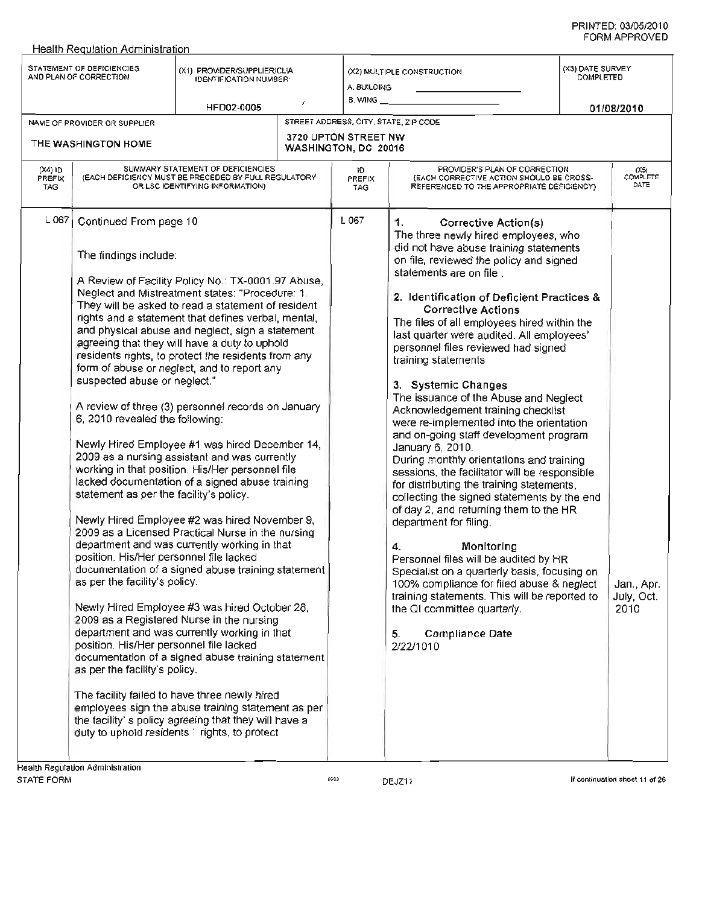|                                 | Health Regulation Administration                                                                                                                                                                                                                                                                                      |                                                                                                                                                                                                                                                                                                                                                                                                                                                                                                                                                                                                                                                                                                                                                                                                                                                                                                                                                                                                                                                                                                                                                                                                                                                                                                                               |  |                                                         |                                                                                                                                                                                                                                                                                                                                                                                                                                                                                                                                                                                                                                                                                                                                                                                                                                                                                                                                                                                                                                                                                                                                                                                            |  |                                                    |  |
|---------------------------------|-----------------------------------------------------------------------------------------------------------------------------------------------------------------------------------------------------------------------------------------------------------------------------------------------------------------------|-------------------------------------------------------------------------------------------------------------------------------------------------------------------------------------------------------------------------------------------------------------------------------------------------------------------------------------------------------------------------------------------------------------------------------------------------------------------------------------------------------------------------------------------------------------------------------------------------------------------------------------------------------------------------------------------------------------------------------------------------------------------------------------------------------------------------------------------------------------------------------------------------------------------------------------------------------------------------------------------------------------------------------------------------------------------------------------------------------------------------------------------------------------------------------------------------------------------------------------------------------------------------------------------------------------------------------|--|---------------------------------------------------------|--------------------------------------------------------------------------------------------------------------------------------------------------------------------------------------------------------------------------------------------------------------------------------------------------------------------------------------------------------------------------------------------------------------------------------------------------------------------------------------------------------------------------------------------------------------------------------------------------------------------------------------------------------------------------------------------------------------------------------------------------------------------------------------------------------------------------------------------------------------------------------------------------------------------------------------------------------------------------------------------------------------------------------------------------------------------------------------------------------------------------------------------------------------------------------------------|--|----------------------------------------------------|--|
|                                 | STATEMENT OF DEFICIENCIES<br>AND PLAN OF CORRECTION                                                                                                                                                                                                                                                                   | (X1) PROVIDER/SUPPLIER/CLIA<br><b>IDENTIFICATION NUMBER</b><br>HFD02-0005                                                                                                                                                                                                                                                                                                                                                                                                                                                                                                                                                                                                                                                                                                                                                                                                                                                                                                                                                                                                                                                                                                                                                                                                                                                     |  | (X2) MULTIPLE CONSTRUCTION<br>A. BUILDING<br>B. WING __ |                                                                                                                                                                                                                                                                                                                                                                                                                                                                                                                                                                                                                                                                                                                                                                                                                                                                                                                                                                                                                                                                                                                                                                                            |  | (X3) DATE SURVEY<br><b>COMPLETED</b><br>01/08/2010 |  |
|                                 | NAME OF PROVIDER OR SUPPLIER                                                                                                                                                                                                                                                                                          |                                                                                                                                                                                                                                                                                                                                                                                                                                                                                                                                                                                                                                                                                                                                                                                                                                                                                                                                                                                                                                                                                                                                                                                                                                                                                                                               |  | STREET ADDRESS, CITY, STATE, ZIP CODE                   |                                                                                                                                                                                                                                                                                                                                                                                                                                                                                                                                                                                                                                                                                                                                                                                                                                                                                                                                                                                                                                                                                                                                                                                            |  |                                                    |  |
|                                 | THE WASHINGTON HOME                                                                                                                                                                                                                                                                                                   |                                                                                                                                                                                                                                                                                                                                                                                                                                                                                                                                                                                                                                                                                                                                                                                                                                                                                                                                                                                                                                                                                                                                                                                                                                                                                                                               |  | 3720 UPTON STREET NW<br>WASHINGTON, DC 20016            |                                                                                                                                                                                                                                                                                                                                                                                                                                                                                                                                                                                                                                                                                                                                                                                                                                                                                                                                                                                                                                                                                                                                                                                            |  |                                                    |  |
| (X4) ID<br><b>PREFIX</b><br>TAG | SUMMARY STATEMENT OF DEFICIENCIES<br>(EACH DEFICIENCY MUST BE PRECEDED BY FULL REGULATORY<br>OR LSC IDENTIFYING INFORMATION)                                                                                                                                                                                          |                                                                                                                                                                                                                                                                                                                                                                                                                                                                                                                                                                                                                                                                                                                                                                                                                                                                                                                                                                                                                                                                                                                                                                                                                                                                                                                               |  | Ю<br>PREFIX<br>TAG                                      | PROVIDER'S PLAN OF CORRECTION<br>(EACH CORRECTIVE ACTION SHOULD BE CROSS-<br>REFERENCED TO THE APPROPRIATE DEFICIENCY)                                                                                                                                                                                                                                                                                                                                                                                                                                                                                                                                                                                                                                                                                                                                                                                                                                                                                                                                                                                                                                                                     |  | $(X5)$<br>COMPLETE<br>DATE                         |  |
| L 067                           | Continued From page 10<br>The findings include:<br>suspected abuse or neglect."<br>6, 2010 revealed the following:<br>statement as per the facility's policy.<br>position. His/Her personnel file lacked<br>as per the facility's policy.<br>position. His/Her personnel file lacked<br>as per the facility's policy. | A Review of Facility Policy No.: TX-0001.97 Abuse,<br>Neglect and Mistreatment states: "Procedure: 1.<br>They will be asked to read a statement of resident<br>rights and a statement that defines verbal, mental,<br>and physical abuse and neglect, sign a statement<br>agreeing that they will have a duty to uphold<br>residents rights, to protect the residents from any<br>form of abuse or neglect, and to report any<br>A review of three (3) personnel records on January<br>Newly Hired Employee #1 was hired December 14,<br>2009 as a nursing assistant and was currently<br>working in that position. His/Her personnel file<br>lacked documentation of a signed abuse training<br>Newly Hired Employee #2 was hired November 9,<br>2009 as a Licensed Practical Nurse in the nursing<br>department and was currently working in that<br>documentation of a signed abuse training statement<br>Newly Hired Employee #3 was hired October 28,<br>2009 as a Registered Nurse in the nursing<br>department and was currently working in that<br>documentation of a signed abuse training statement<br>The facility failed to have three newly hired<br>employees sign the abuse training statement as per<br>the facility' s policy agreeing that they will have a<br>duty to uphold residents' rights, to protect |  | L 067                                                   | Corrective Action(s)<br>1.<br>The three newly hired employees, who<br>did not have abuse training statements<br>on file, reviewed the policy and signed<br>statements are on file<br>2. Identification of Deficient Practices &<br><b>Corrective Actions</b><br>The files of all employees hired within the<br>last quarter were audited. All employees'<br>personnel files reviewed had signed<br>training statements<br>3. Systemic Changes<br>The issuance of the Abuse and Neglect<br>Acknowledgement training checklist<br>were re-implemented into the orientation<br>and on-going staff development program<br>January 6, 2010.<br>During monthly orientations and training<br>sessions, the facilitator will be responsible<br>for distributing the training statements,<br>collecting the signed statements by the end<br>of day 2, and returning them to the HR<br>department for filing.<br>Monitoring<br>4.<br>Personnel files will be audited by HR<br>Specialist on a quarterly basis, focusing on<br>100% compliance for filed abuse & neglect<br>training statements. This will be reported to<br>the QI committee quarterly.<br><b>Compliance Date</b><br>5.<br>2/22/1010 |  | Jan., Apr.<br>July, Oct.<br>2010                   |  |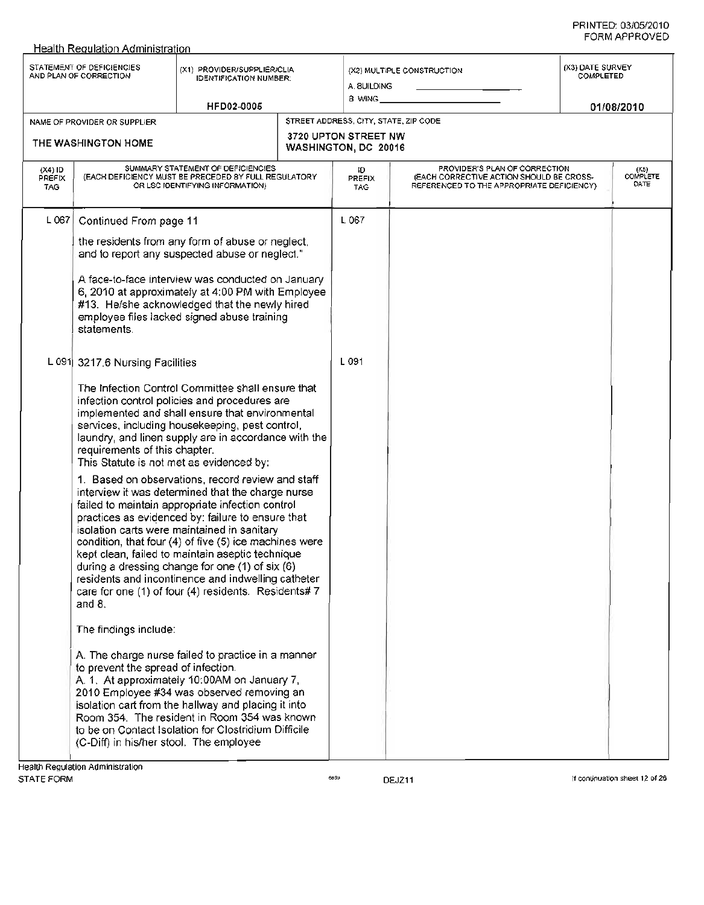#### Health Reaulation Administration STATEMENT OF DEFICIENCIES STATEMENT OF DEFICIENCIES (X1) PROVIDER/SUPPLIER/CLIA<br>AND PLAN OF CORRECTION (IDENTIFICATION NUMBER) IDENTIFICATION NUMBER: HFD02-0005 (X2) MULTIPLE CONSTRUCTION A. BUILDING B. WING \_ *01/08/2010* (X3) DATE SURVEY COMPLETED STREET ADDRESS, CITY, STATE, ZIP CODE 3720 UPTON STREET NW WASHINGTON, DC 20016 ID PREFIX TAG L 067 L 091 NAME OF PROVIDER OR SUPPLIER THE WASHINGTON HOME (X4) ID PREFIX TAG SUMMARY STATEMENT OF DEFICIENCIES (EACH DEFICIENCY MUST BE PRECEDED BY FULL REGULATORY OR LSC IDENTIFYING INFORMATION) (X5)<br>COMPLETI **DATE** L 067 Continued From page 11 the residents from any form of abuse or neglect, and to report any suspected abuse or neglect." A face-to-face interview was conducted on January 6, 2010 at approximately at 4:00 PM with Employee #13. He/she acknowledged that the newly hired employee files lacked signed abuse training statements. L 091 3217.6 Nursing Facilities The Infection Control Committee shall ensure that infection control policies and procedures are implemented and shall ensure that environmental services, including housekeeping, pest control, laundry, and linen supply are in accordance with the requirements of this chapter. This Statute is not met as evidenced by: 1. Based on observations, record review and staff interview it was determined that the charge nurse failed to maintain appropriate infection control practices as evidenced by: failure to ensure that isolation carts were maintained in sanitary condition, that four (4) of five (5) ice machines were kept clean, failed to maintain aseptic technique during a dressing change for one (1) of six (6) residents and incontinence and indwelling catheter care for one (1) of four (4) residents. Residents# 7 and 8. The findings include: A. The charge nurse failed to practice in a manner to prevent the spread of infection. A. 1. At approximately 10:00AM on January 7, 2010 Employee #34 was observed removing an isolation cart from the hallway and placing it into Room 354. The resident in Room 354 was known to be on Contact Isolation for Clostridium Difficile (C-Diff) in his/her stool. The employee PROVIDER'S PLAN OF CORRECTION (EACH CORRECTIVE ACTION SHOULD BE CROSS-REFERENCED TO THE APPROPRIATE DEFICIENCY)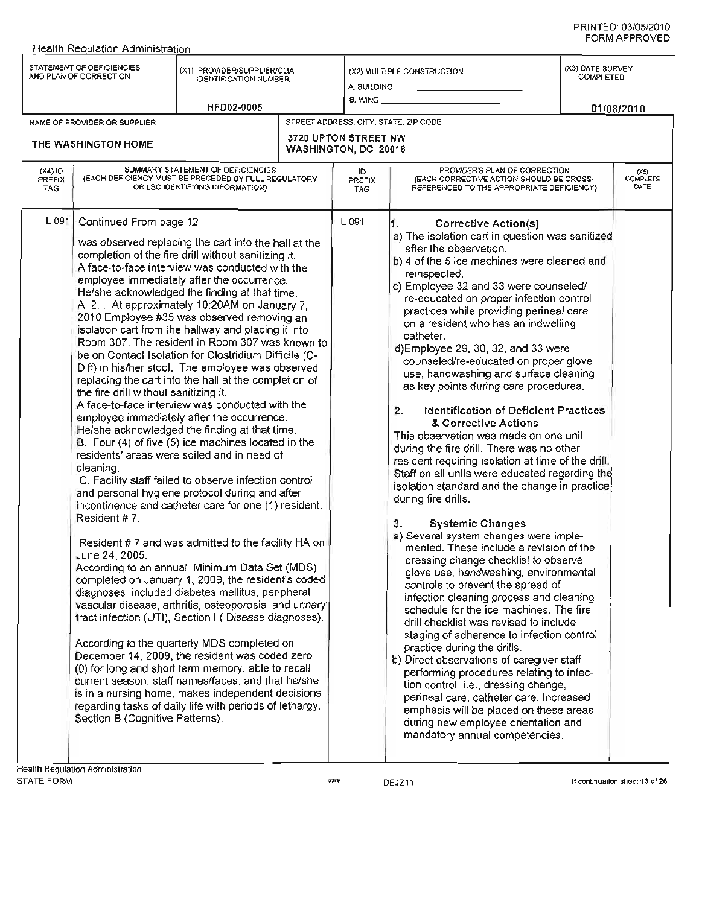#### Health Reaulation Administration STATEMENT OF DEFICIENCIES STATEMENT OF DEFICIENCIES (X1) PROVIDER/SUPPLIER/CLIA<br>AND PLAN OF CORRECTION IDENTIFICATION NUMBER: (X2) MULTIPLE CONSTRUCTION A. BUILDING B. WING \_ (X3) DATE SURVEY COMPLETED (X5)<br>COMPLETE<br>DATE HFD02-0005 STREET ADDRESS, CITY, STATE, ZIP CODE 3720 UPTON STREET NW WASHINGTON, DC 20016 NAME OF PROVIDER OR SUPPLIER THE WASHINGTON HOME SUMMARY STATEMENT OF DEFICIENCIES (EACH DEFICIENCY MUST BE PRECEDED BY FULL REGULATORY OR LSC IDENTIFYING INFORMATION) (X4) ID PREFIX TAG L 091 Continued From page 12 was observed replacing the cart into the hall at the completion of the fire drill without sanitizing it. A face-to-face interview was conducted with the employee immediately after the occurrence. He/she acknowledged the finding at that time. A. 2... At approximately 10:20AM on January 7, 2010 Employee #35 was observed removing an isolation cart from the hallway and placing it into Room 307. The resident in Room 307 was known to be on Contact Isolation for Clostridium Difficile (C-Diff) in his/her stool. The employee was observed replacing the cart into the hall at the completion of the fire drill without sanitizing it. A face-to-face interview was conducted with the employee immediately after the occurrence. He/she acknowledged the finding at that time. B. Four (4) of five (5) ice machines located in the residents' areas were soiled and in need of cleaning. C. Facility staff failed to observe infection control and personal hygiene protocol during and after incontinence and catheter care for one (1) resident. Resident # 7. Resident # 7 and was admitted to the facility HA on June 24, 2005. According to an annual Minimum Data Set (MDS) completed on January 1, 2009, the resident's coded diagnoses included diabetes mellitus, peripheral vascular disease, arthritis, osteoporosis and unnary tract infection (UTI), Section I ( Disease diagnoses). According to the quarterly MDS completed on December 14,2009, the resident was coded zero (0) for long and short term memory, able to recall current season, staff names/faces, and that he/she is in a nursing home, makes independent decisions regarding tasks of daily life with periods of lethargy. Section B (Cognitive Patterns). ID PREFIX TAG PROVIDER'S PLAN OF CORRECTION (EACH CORRECTIVE ACTION SHOULD BE CROSS-REFERENCED TO THE APPROPRIATE DEFICIENCY) 01/08/2010 L 091 1. Corrective Action(s) a) The isolation cart in question was sanitized after the observation. b) 4 of the 5 ice machines were cleaned and reinspected. c) Employee 32 and 33 were counseled/ re-educated on proper infection control practices while providing perineal care on a resident who has an indwelling catheter. d)Employee 29, 30, 32, and 33 were counseled/re-educated on proper glove use, handwashing and surface cleaning as key points during care procedures. 2. Identification of Deficient Practices & Corrective Actions This observation was made on one unit during the fire drill. There was no other resident requiring isolation at time of the drill. Staff on all units were educated regarding the isolation standard and the change in practice during fire drills. 3. Systemic Changes a) Several system changes were implemented. These include a revision of the dressing change checklist to observe glove use, handwashing, environmental controls to prevent the spread of infection cleaning process and cleaning schedule for the ice machines. The fire drill checklist was revised to include staging of adherence to infection control practice during the drills. b) Direct observations of caregiver staff performing procedures relating to infection control, i.e., dressing change, perineal care, catheter care. Increased emphasis will be placed on these areas during new employee orientation and mandatory annual competencies.

DEJZ11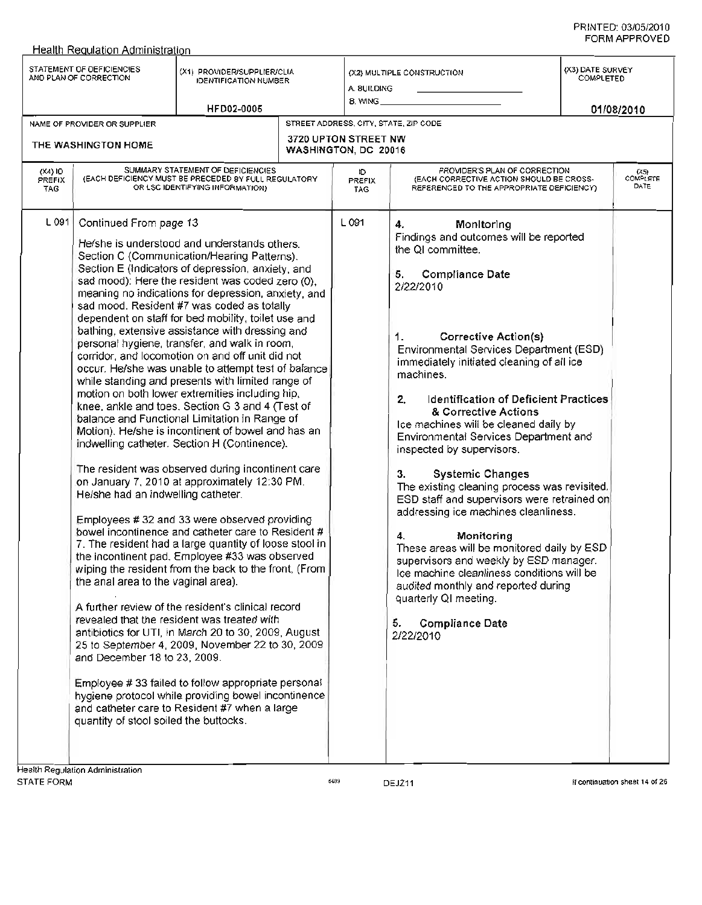| STATEMENT OF DEFICIENCIES<br>(X3) DATE SURVEY<br>(X1) PROVIDER/SUPPLIER/CLIA<br>(X2) MULTIPLE CONSTRUCTION<br><b>COMPLETED</b><br>AND PLAN OF CORRECTION<br><b>IDENTIFICATION NUMBER</b><br>A. BUILDING<br>8. WING<br>HFD02-0005<br>01/08/2010<br>STREET ADDRESS, CITY, STATE, ZIP CODE<br>NAME OF PROVIDER OR SUPPLIER<br>3720 UPTON STREET NW<br>THE WASHINGTON HOME<br>WASHINGTON, DC 20016<br>SUMMARY STATEMENT OF DEFICIENCIES<br>PROVIDER'S PLAN OF CORRECTION<br>$(X4)$ ID<br>Ю<br>(X5)<br>(EACH DEFICIENCY MUST BE PRECEDED BY FULL REGULATORY<br>(EACH CORRECTIVE ACTION SHOULD BE CROSS-<br>PREFIX<br>PREFIX<br>DATE<br>OR LSC IDENTIFYING INFORMATION)<br>REFERENCED TO THE APPROPRIATE DEFICIENCY)<br><b>TAG</b><br>TAG.<br>L 091<br>L091<br>Continued From page 13<br>Monitoring<br>4.<br>Findings and outcomes will be reported<br>He/she is understood and understands others.<br>the QI committee.<br>Section C (Communication/Hearing Patterns).<br>Section E (Indicators of depression, anxiety, and<br><b>Compliance Date</b><br>5.<br>sad mood): Here the resident was coded zero (0),<br>2/22/2010<br>meaning no indications for depression, anxiety, and<br>sad mood. Resident #7 was coded as totally<br>dependent on staff for bed mobility, toilet use and<br>bathing, extensive assistance with dressing and<br><b>Corrective Action(s)</b><br>1.<br>personal hygiene, transfer, and walk in room,<br>Environmental Services Department (ESD)<br>corridor, and locomotion on and off unit did not<br>immediately initiated cleaning of all ice<br>occur. He/she was unable to attempt test of balance<br>machines.<br>while standing and presents with limited range of<br>motion on both lower extremities including hip,<br>2.<br><b>Identification of Deficient Practices</b><br>knee, ankle and toes. Section G 3 and 4 (Test of<br>& Corrective Actions<br>balance and Functional Limitation in Range of<br>Ice machines will be cleaned daily by<br>Motion). He/she is incontinent of bowel and has an<br>Environmental Services Department and<br>indwelling catheter. Section H (Continence). | Health Regulation Administration |  |  |                           |  |          |  |  |
|---------------------------------------------------------------------------------------------------------------------------------------------------------------------------------------------------------------------------------------------------------------------------------------------------------------------------------------------------------------------------------------------------------------------------------------------------------------------------------------------------------------------------------------------------------------------------------------------------------------------------------------------------------------------------------------------------------------------------------------------------------------------------------------------------------------------------------------------------------------------------------------------------------------------------------------------------------------------------------------------------------------------------------------------------------------------------------------------------------------------------------------------------------------------------------------------------------------------------------------------------------------------------------------------------------------------------------------------------------------------------------------------------------------------------------------------------------------------------------------------------------------------------------------------------------------------------------------------------------------------------------------------------------------------------------------------------------------------------------------------------------------------------------------------------------------------------------------------------------------------------------------------------------------------------------------------------------------------------------------------------------------------------------------------------------------------------------------------------------------------------------|----------------------------------|--|--|---------------------------|--|----------|--|--|
|                                                                                                                                                                                                                                                                                                                                                                                                                                                                                                                                                                                                                                                                                                                                                                                                                                                                                                                                                                                                                                                                                                                                                                                                                                                                                                                                                                                                                                                                                                                                                                                                                                                                                                                                                                                                                                                                                                                                                                                                                                                                                                                                 |                                  |  |  |                           |  |          |  |  |
|                                                                                                                                                                                                                                                                                                                                                                                                                                                                                                                                                                                                                                                                                                                                                                                                                                                                                                                                                                                                                                                                                                                                                                                                                                                                                                                                                                                                                                                                                                                                                                                                                                                                                                                                                                                                                                                                                                                                                                                                                                                                                                                                 |                                  |  |  |                           |  |          |  |  |
|                                                                                                                                                                                                                                                                                                                                                                                                                                                                                                                                                                                                                                                                                                                                                                                                                                                                                                                                                                                                                                                                                                                                                                                                                                                                                                                                                                                                                                                                                                                                                                                                                                                                                                                                                                                                                                                                                                                                                                                                                                                                                                                                 |                                  |  |  |                           |  |          |  |  |
|                                                                                                                                                                                                                                                                                                                                                                                                                                                                                                                                                                                                                                                                                                                                                                                                                                                                                                                                                                                                                                                                                                                                                                                                                                                                                                                                                                                                                                                                                                                                                                                                                                                                                                                                                                                                                                                                                                                                                                                                                                                                                                                                 |                                  |  |  |                           |  | COMPLETE |  |  |
| The resident was observed during incontinent care<br><b>Systemic Changes</b><br>3.<br>on January 7, 2010 at approximately 12:30 PM.<br>The existing cleaning process was revisited,<br>He/she had an indwelling catheter.<br>ESD staff and supervisors were retrained on<br>addressing ice machines cleanliness.<br>Employees #32 and 33 were observed providing<br>bowel incontinence and catheter care to Resident #<br>4.<br>Monitoring<br>7. The resident had a large quantity of loose stool in<br>These areas will be monitored daily by ESD<br>the incontinent pad. Employee #33 was observed<br>supervisors and weekly by ESD manager.<br>wiping the resident from the back to the front, (From<br>Ice machine cleanliness conditions will be<br>the anal area to the vaginal area).<br>audited monthly and reported during<br>quarterly QI meeting.<br>A further review of the resident's clinical record<br>revealed that the resident was treated with<br>5.<br><b>Compliance Date</b><br>antibiotics for UTI, in March 20 to 30, 2009, August<br>2/22/2010<br>25 to September 4, 2009, November 22 to 30, 2009<br>and December 18 to 23, 2009.<br>Employee #33 failed to follow appropriate personal<br>hygiene protocol while providing bowel incontinence<br>and catheter care to Resident #7 when a large<br>quantity of stool soiled the buttocks.                                                                                                                                                                                                                                                                                                                                                                                                                                                                                                                                                                                                                                                                                                                                                              |                                  |  |  | inspected by supervisors. |  |          |  |  |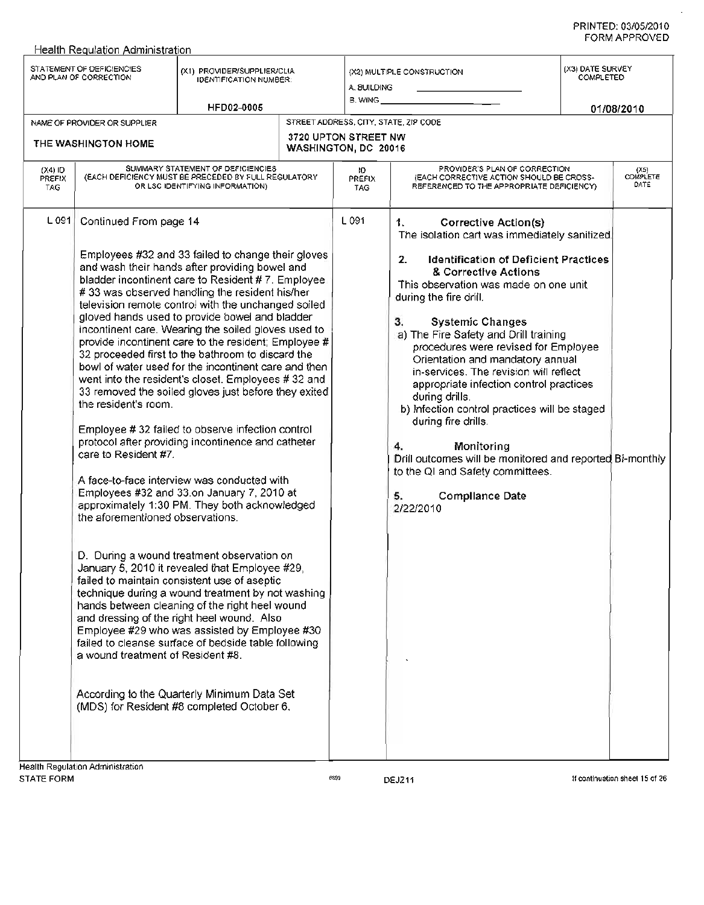$\overline{a}$ 

| STATEMENT OF DEFICIENCIES<br>(X3) DATE SURVEY<br>(X1) PROVIDER/SUPPLIER/CLIA<br>(X2) MULTIPLE CONSTRUCTION<br>AND PLAN OF CORRECTION<br>COMPLETED<br><b>IDENTIFICATION NUMBER:</b><br>A. BUILDING<br>B. WING ______<br>HFD02-0005<br>01/08/2010<br>STREET ADDRESS, CITY, STATE, ZIP CODE<br>NAME OF PROVIDER OR SUPPLIER<br>3720 UPTON STREET NW<br>THE WASHINGTON HOME<br>WASHINGTON, DC 20016<br>SUMMARY STATEMENT OF DEFICIENCIES<br>PROVIDER'S PLAN OF CORRECTION<br>$(X4)$ ID<br>Ю<br>(EACH DEFICIENCY MUST BE PRECEDED BY FULL REGULATORY<br>(EACH CORRECTIVE ACTION SHOULD BE CROSS-<br><b>PREFIX</b><br><b>PREFIX</b><br>DATE<br>OR LSC IDENTIFYING INFORMATION)<br>REFERENCED TO THE APPROPRIATE DEFICIENCY).<br>TAG.<br><b>TAG</b><br>L 091<br>L 091<br>Continued From page 14<br><b>Corrective Action(s)</b><br>1.<br>The isolation cart was immediately sanitized.<br>Employees #32 and 33 failed to change their gloves<br><b>Identification of Deficient Practices</b><br>2 <sub>1</sub><br>and wash their hands after providing bowel and<br>& Corrective Actions<br>bladder incontinent care to Resident #7. Employee.<br>This observation was made on one unit<br>#33 was observed handling the resident his/her<br>during the fire drill.<br>television remote control with the unchanged soiled<br>gloved hands used to provide bowel and bladder<br>З.<br><b>Systemic Changes</b><br>incontinent care. Wearing the soiled gloves used to<br>a) The Fire Safety and Drill training<br>provide incontinent care to the resident; Employee #<br>procedures were revised for Employee<br>32 proceeded first to the bathroom to discard the<br>Orientation and mandatory annual<br>bowl of water used for the incontinent care and then<br>in-services. The revision will reflect<br>went into the resident's closet. Employees #32 and<br>appropriate infection control practices<br>33 removed the soiled gloves just before they exited<br>during drills.<br>the resident's room.<br>b) Infection control practices will be staged<br>during fire drills.<br>Employee #32 failed to observe infection control<br>protocol after providing incontinence and catheter<br>4.<br>Monitoring<br>care to Resident #7.<br>Drill outcomes will be monitored and reported Bi-monthly<br>to the QI and Safety committees.<br>A face-to-face interview was conducted with<br>Employees #32 and 33.on January 7, 2010 at<br><b>Compliance Date</b><br>5.<br>approximately 1:30 PM. They both acknowledged<br>2/22/2010<br>the aforementioned observations.<br>D. During a wound treatment observation on<br>January 5, 2010 it revealed that Employee #29,<br>failed to maintain consistent use of aseptic<br>technique during a wound treatment by not washing<br>hands between cleaning of the right heel wound<br>and dressing of the right heel wound. Also<br>Employee #29 who was assisted by Employee #30<br>failed to cleanse surface of bedside table following<br>a wound treatment of Resident #8.<br>According to the Quarterly Minimum Data Set<br>(MDS) for Resident #8 completed October 6, | Health Regulation Administration |  |  |                    |
|------------------------------------------------------------------------------------------------------------------------------------------------------------------------------------------------------------------------------------------------------------------------------------------------------------------------------------------------------------------------------------------------------------------------------------------------------------------------------------------------------------------------------------------------------------------------------------------------------------------------------------------------------------------------------------------------------------------------------------------------------------------------------------------------------------------------------------------------------------------------------------------------------------------------------------------------------------------------------------------------------------------------------------------------------------------------------------------------------------------------------------------------------------------------------------------------------------------------------------------------------------------------------------------------------------------------------------------------------------------------------------------------------------------------------------------------------------------------------------------------------------------------------------------------------------------------------------------------------------------------------------------------------------------------------------------------------------------------------------------------------------------------------------------------------------------------------------------------------------------------------------------------------------------------------------------------------------------------------------------------------------------------------------------------------------------------------------------------------------------------------------------------------------------------------------------------------------------------------------------------------------------------------------------------------------------------------------------------------------------------------------------------------------------------------------------------------------------------------------------------------------------------------------------------------------------------------------------------------------------------------------------------------------------------------------------------------------------------------------------------------------------------------------------------------------------------------------------------------------------------------------------------------------------------------------------------------------------------------------------------------------------------------------------------------------------------------------------------------------------|----------------------------------|--|--|--------------------|
|                                                                                                                                                                                                                                                                                                                                                                                                                                                                                                                                                                                                                                                                                                                                                                                                                                                                                                                                                                                                                                                                                                                                                                                                                                                                                                                                                                                                                                                                                                                                                                                                                                                                                                                                                                                                                                                                                                                                                                                                                                                                                                                                                                                                                                                                                                                                                                                                                                                                                                                                                                                                                                                                                                                                                                                                                                                                                                                                                                                                                                                                                                                  |                                  |  |  |                    |
|                                                                                                                                                                                                                                                                                                                                                                                                                                                                                                                                                                                                                                                                                                                                                                                                                                                                                                                                                                                                                                                                                                                                                                                                                                                                                                                                                                                                                                                                                                                                                                                                                                                                                                                                                                                                                                                                                                                                                                                                                                                                                                                                                                                                                                                                                                                                                                                                                                                                                                                                                                                                                                                                                                                                                                                                                                                                                                                                                                                                                                                                                                                  |                                  |  |  |                    |
|                                                                                                                                                                                                                                                                                                                                                                                                                                                                                                                                                                                                                                                                                                                                                                                                                                                                                                                                                                                                                                                                                                                                                                                                                                                                                                                                                                                                                                                                                                                                                                                                                                                                                                                                                                                                                                                                                                                                                                                                                                                                                                                                                                                                                                                                                                                                                                                                                                                                                                                                                                                                                                                                                                                                                                                                                                                                                                                                                                                                                                                                                                                  |                                  |  |  |                    |
|                                                                                                                                                                                                                                                                                                                                                                                                                                                                                                                                                                                                                                                                                                                                                                                                                                                                                                                                                                                                                                                                                                                                                                                                                                                                                                                                                                                                                                                                                                                                                                                                                                                                                                                                                                                                                                                                                                                                                                                                                                                                                                                                                                                                                                                                                                                                                                                                                                                                                                                                                                                                                                                                                                                                                                                                                                                                                                                                                                                                                                                                                                                  |                                  |  |  | $(X5)$<br>COMPLETE |
| -lealth Regulation Administration                                                                                                                                                                                                                                                                                                                                                                                                                                                                                                                                                                                                                                                                                                                                                                                                                                                                                                                                                                                                                                                                                                                                                                                                                                                                                                                                                                                                                                                                                                                                                                                                                                                                                                                                                                                                                                                                                                                                                                                                                                                                                                                                                                                                                                                                                                                                                                                                                                                                                                                                                                                                                                                                                                                                                                                                                                                                                                                                                                                                                                                                                |                                  |  |  |                    |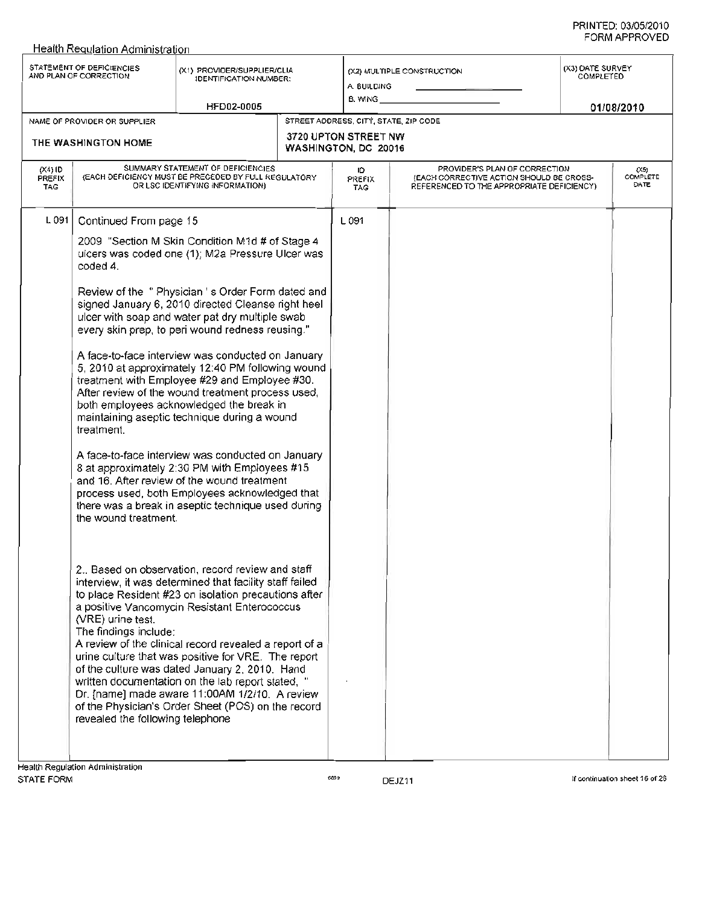|                            | <b>Health Requlation Administration</b>                                                                                      |                                                                                                                                                                                                                                                                                                                                                                                                                                                                                                                                                     |  |                                              |                                                                                                                        |                               |                                 |
|----------------------------|------------------------------------------------------------------------------------------------------------------------------|-----------------------------------------------------------------------------------------------------------------------------------------------------------------------------------------------------------------------------------------------------------------------------------------------------------------------------------------------------------------------------------------------------------------------------------------------------------------------------------------------------------------------------------------------------|--|----------------------------------------------|------------------------------------------------------------------------------------------------------------------------|-------------------------------|---------------------------------|
|                            | STATEMENT OF DEFICIENCIES<br>AND PLAN OF CORRECTION                                                                          | (X1) PROVIDER/SUPPLIER/CLIA<br><b>IDENTIFICATION NUMBER:</b>                                                                                                                                                                                                                                                                                                                                                                                                                                                                                        |  | A BUILDING<br>B. WING                        | (X2) MULTIPLE CONSTRUCTION                                                                                             | (X3) DATE SURVEY<br>COMPLETED |                                 |
|                            |                                                                                                                              | <b>HFD02-0005</b>                                                                                                                                                                                                                                                                                                                                                                                                                                                                                                                                   |  |                                              |                                                                                                                        |                               | 01/08/2010                      |
|                            | NAME OF PROVIDER OR SUPPLIER                                                                                                 |                                                                                                                                                                                                                                                                                                                                                                                                                                                                                                                                                     |  | STREET ADDRESS, CITY, STATE, ZIP CODE        |                                                                                                                        |                               |                                 |
|                            | THE WASHINGTON HOME                                                                                                          |                                                                                                                                                                                                                                                                                                                                                                                                                                                                                                                                                     |  | 3720 UPTON STREET NW<br>WASHINGTON, DC 20016 |                                                                                                                        |                               |                                 |
| $(X4)$ ID<br>PREFIX<br>TAG | SUMMARY STATEMENT OF DEFICIENCIES<br>(EACH DEFICIENCY MUST BE PRECEDED BY FULL REGULATORY<br>OR LSC IDENTIFYING INFORMATION) |                                                                                                                                                                                                                                                                                                                                                                                                                                                                                                                                                     |  | ю<br>PREFIX<br>TAG                           | PROVIDER'S PLAN OF CORRECTION<br>(EACH CORRECTIVE ACTION SHOULD BE CROSS-<br>REFERENCED TO THE APPROPRIATE DEFICIENCY) |                               | (X5)<br><b>COMPLETE</b><br>DATE |
| L 091                      | Continued From page 15                                                                                                       |                                                                                                                                                                                                                                                                                                                                                                                                                                                                                                                                                     |  | L091                                         |                                                                                                                        |                               |                                 |
|                            | coded 4.                                                                                                                     | 2009 "Section M Skin Condition M1d # of Stage 4<br>ulcers was coded one (1); M2a Pressure Ulcer was                                                                                                                                                                                                                                                                                                                                                                                                                                                 |  |                                              |                                                                                                                        |                               |                                 |
|                            |                                                                                                                              | Review of the "Physician 's Order Form dated and<br>signed January 6, 2010 directed Cleanse right heel<br>ulcer with soap and water pat dry multiple swab<br>every skin prep, to peri wound redness reusing."<br>A face-to-face interview was conducted on January<br>5, 2010 at approximately 12:40 PM following wound<br>treatment with Employee #29 and Employee #30.<br>After review of the wound treatment process used,<br>both employees acknowledged the break in<br>maintaining aseptic technique during a wound<br>treatment.             |  |                                              |                                                                                                                        |                               |                                 |
|                            |                                                                                                                              |                                                                                                                                                                                                                                                                                                                                                                                                                                                                                                                                                     |  |                                              |                                                                                                                        |                               |                                 |
|                            | the wound treatment.                                                                                                         | A face-to-face interview was conducted on January<br>8 at approximately 2:30 PM with Employees #15<br>and 16. After review of the wound treatment<br>process used, both Employees acknowledged that<br>there was a break in aseptic technique used during                                                                                                                                                                                                                                                                                           |  |                                              |                                                                                                                        |                               |                                 |
|                            | (VRE) urine test.<br>The findings include:<br>revealed the following telephone                                               | 2. Based on observation, record review and staff<br>interview, it was determined that facility staff failed<br>to place Resident #23 on isolation precautions after<br>a positive Vancomycin Resistant Enterococcus<br>A review of the clinical record revealed a report of a<br>urine culture that was positive for VRE. The report<br>of the culture was dated January 2, 2010. Hand<br>written documentation on the lab report stated, "<br>Dr. [name] made aware 11:00AM 1/2/10. A review<br>of the Physician's Order Sheet (POS) on the record |  |                                              |                                                                                                                        |                               |                                 |
|                            |                                                                                                                              |                                                                                                                                                                                                                                                                                                                                                                                                                                                                                                                                                     |  |                                              |                                                                                                                        |                               |                                 |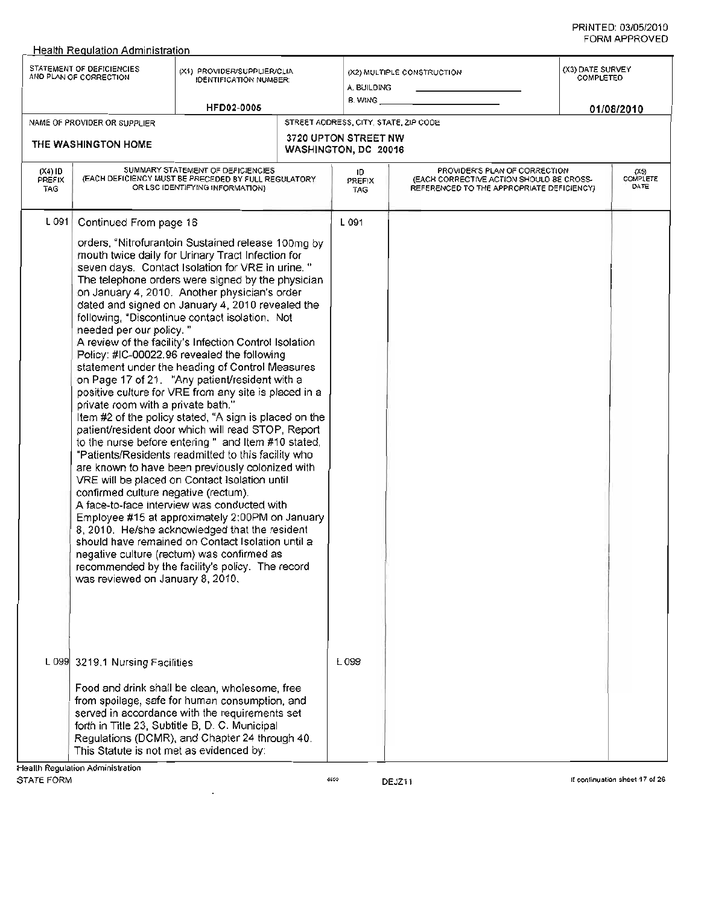|                          | Health Regulation Administration                                                                                                                                    |                                                                                                                                                                                                                                                                                                                                                                                                                                                                                                                                                                                                                                                                                                                                                                                                                                                                                                                                                                                                                                                                                                                                                                                                                                                                                              |                                              |                                                                                                                         |                               |                          |
|--------------------------|---------------------------------------------------------------------------------------------------------------------------------------------------------------------|----------------------------------------------------------------------------------------------------------------------------------------------------------------------------------------------------------------------------------------------------------------------------------------------------------------------------------------------------------------------------------------------------------------------------------------------------------------------------------------------------------------------------------------------------------------------------------------------------------------------------------------------------------------------------------------------------------------------------------------------------------------------------------------------------------------------------------------------------------------------------------------------------------------------------------------------------------------------------------------------------------------------------------------------------------------------------------------------------------------------------------------------------------------------------------------------------------------------------------------------------------------------------------------------|----------------------------------------------|-------------------------------------------------------------------------------------------------------------------------|-------------------------------|--------------------------|
|                          | STATEMENT OF DEFICIENCIES<br>AND PLAN OF CORRECTION                                                                                                                 | (X1) PROVIDER/SUPPLIER/CLIA<br><b>IDENTIFICATION NUMBER:</b>                                                                                                                                                                                                                                                                                                                                                                                                                                                                                                                                                                                                                                                                                                                                                                                                                                                                                                                                                                                                                                                                                                                                                                                                                                 | A. BUILDING<br>B. WING                       | (X2) MULTIPLE CONSTRUCTION                                                                                              | (X3) DATE SURVEY<br>COMPLETED |                          |
|                          |                                                                                                                                                                     | <b>HFD02-0005</b>                                                                                                                                                                                                                                                                                                                                                                                                                                                                                                                                                                                                                                                                                                                                                                                                                                                                                                                                                                                                                                                                                                                                                                                                                                                                            | STREET ADDRESS, CITY, STATE, ZIP CODE        |                                                                                                                         |                               | 01/08/2010               |
|                          | NAME OF PROVIDER OR SUPPLIER                                                                                                                                        |                                                                                                                                                                                                                                                                                                                                                                                                                                                                                                                                                                                                                                                                                                                                                                                                                                                                                                                                                                                                                                                                                                                                                                                                                                                                                              |                                              |                                                                                                                         |                               |                          |
|                          | THE WASHINGTON HOME                                                                                                                                                 |                                                                                                                                                                                                                                                                                                                                                                                                                                                                                                                                                                                                                                                                                                                                                                                                                                                                                                                                                                                                                                                                                                                                                                                                                                                                                              | 3720 UPTON STREET NW<br>WASHINGTON, DC 20016 |                                                                                                                         |                               |                          |
| (X4) ID<br>PREFIX<br>TAG |                                                                                                                                                                     | SUMMARY STATEMENT OF DEFICIENCIES<br>(EACH DEFICIENCY MUST BE PRECEDED BY FULL REGULATORY<br>OR LSC IDENTIFYING INFORMATION)                                                                                                                                                                                                                                                                                                                                                                                                                                                                                                                                                                                                                                                                                                                                                                                                                                                                                                                                                                                                                                                                                                                                                                 | ID.<br>PREFIX<br><b>TAG</b>                  | PROVIDER'S PLAN OF CORRECTION<br>(EACH CORRECTIVE ACTION SHOULD BE CROSS-<br>REFERENCED TO THE APPROPRIATE DEFICIENCY). |                               | (X5)<br>COMPLETE<br>DATE |
| L 091                    | Continued From page 16<br>needed per our policy."<br>private room with a private bath."<br>confirmed culture negative (rectum).<br>was reviewed on January 8, 2010. | orders, "Nitrofurantoin Sustained release 100mg by<br>mouth twice daily for Urinary Tract Infection for<br>seven days. Contact Isolation for VRE in urine."<br>The telephone orders were signed by the physician<br>on January 4, 2010. Another physician's order<br>dated and signed on January 4, 2010 revealed the<br>following, "Discontinue contact isolation. Not<br>A review of the facility's Infection Control Isolation<br>Policy: #IC-00022.96 revealed the following<br>statement under the heading of Control Measures<br>on Page 17 of 21. "Any patient/resident with a<br>positive culture for VRE from any site is placed in a<br>Item #2 of the policy stated, "A sign is placed on the<br>patient/resident door which will read STOP, Report<br>to the nurse before entering " and Item #10 stated,<br>"Patients/Residents readmitted to this facility who<br>are known to have been previously colonized with<br>VRE will be placed on Contact Isolation until<br>A face-to-face interview was conducted with<br>Employee #15 at approximately 2:00PM on January<br>8, 2010. He/she acknowledged that the resident<br>should have remained on Contact Isolation until a<br>negative culture (rectum) was confirmed as<br>recommended by the facility's policy. The record | L 091                                        |                                                                                                                         |                               |                          |
|                          | L 099 3219.1 Nursing Facilities                                                                                                                                     | Food and drink shall be clean, wholesome, free                                                                                                                                                                                                                                                                                                                                                                                                                                                                                                                                                                                                                                                                                                                                                                                                                                                                                                                                                                                                                                                                                                                                                                                                                                               | L 099                                        |                                                                                                                         |                               |                          |
|                          |                                                                                                                                                                     | from spoilage, safe for human consumption, and<br>served in accordance with the requirements set<br>forth in Title 23, Subtitle B, D. C. Municipal<br>Regulations (DCMR), and Chapter 24 through 40.                                                                                                                                                                                                                                                                                                                                                                                                                                                                                                                                                                                                                                                                                                                                                                                                                                                                                                                                                                                                                                                                                         |                                              |                                                                                                                         |                               |                          |
|                          | This Statute is not met as evidenced by:                                                                                                                            |                                                                                                                                                                                                                                                                                                                                                                                                                                                                                                                                                                                                                                                                                                                                                                                                                                                                                                                                                                                                                                                                                                                                                                                                                                                                                              |                                              |                                                                                                                         |                               |                          |
|                          | Health Regulation Administration                                                                                                                                    |                                                                                                                                                                                                                                                                                                                                                                                                                                                                                                                                                                                                                                                                                                                                                                                                                                                                                                                                                                                                                                                                                                                                                                                                                                                                                              |                                              |                                                                                                                         |                               |                          |

 $\overline{a}$ 

STATE FORM 689 DEJZ11 DEL STATE FORM 689 DESIGN DESIGN CONTINUATION SHEET 17 OF 26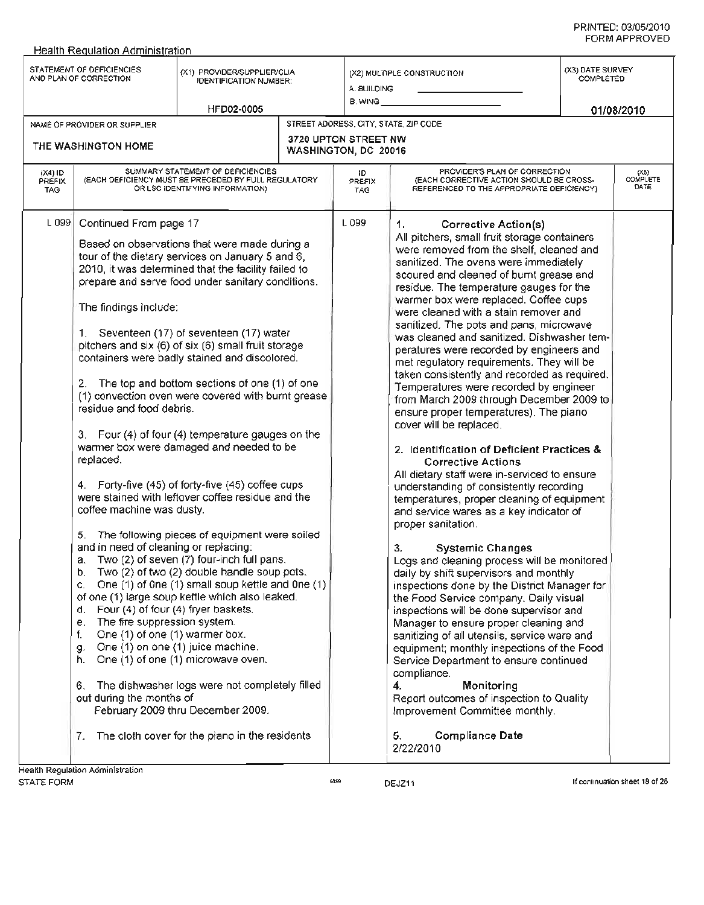|                                 | <b>Health Requlation Administration</b>                                                                                                                                                                                                                                                                                                                                                                     |                                                                                                                                                                                                                                                                                                                                                                                                                                                                                                                                                                                                                                                                                                                                                                                                                                                                                                                                                                                                                                                                                                                        |                                                     |                                                                                                                                                                                                                                                                                                                                                                                                                                                                                                                                                                                                                                                                                                                                                                                                                                                                                                                                                                                                                                                                                                                                                                                                                                                                                                                                                                                                                                                                                                                                                                                                                                                |                                      |                            |
|---------------------------------|-------------------------------------------------------------------------------------------------------------------------------------------------------------------------------------------------------------------------------------------------------------------------------------------------------------------------------------------------------------------------------------------------------------|------------------------------------------------------------------------------------------------------------------------------------------------------------------------------------------------------------------------------------------------------------------------------------------------------------------------------------------------------------------------------------------------------------------------------------------------------------------------------------------------------------------------------------------------------------------------------------------------------------------------------------------------------------------------------------------------------------------------------------------------------------------------------------------------------------------------------------------------------------------------------------------------------------------------------------------------------------------------------------------------------------------------------------------------------------------------------------------------------------------------|-----------------------------------------------------|------------------------------------------------------------------------------------------------------------------------------------------------------------------------------------------------------------------------------------------------------------------------------------------------------------------------------------------------------------------------------------------------------------------------------------------------------------------------------------------------------------------------------------------------------------------------------------------------------------------------------------------------------------------------------------------------------------------------------------------------------------------------------------------------------------------------------------------------------------------------------------------------------------------------------------------------------------------------------------------------------------------------------------------------------------------------------------------------------------------------------------------------------------------------------------------------------------------------------------------------------------------------------------------------------------------------------------------------------------------------------------------------------------------------------------------------------------------------------------------------------------------------------------------------------------------------------------------------------------------------------------------------|--------------------------------------|----------------------------|
|                                 | STATEMENT OF DEFICIENCIES<br>AND PLAN OF CORRECTION                                                                                                                                                                                                                                                                                                                                                         | (X1) PROVIDER/SUPPLIER/CLIA<br><b>IDENTIFICATION NUMBER:</b>                                                                                                                                                                                                                                                                                                                                                                                                                                                                                                                                                                                                                                                                                                                                                                                                                                                                                                                                                                                                                                                           | A. BUILDING<br>8. WING                              | (X2) MULTIPLE CONSTRUCTION                                                                                                                                                                                                                                                                                                                                                                                                                                                                                                                                                                                                                                                                                                                                                                                                                                                                                                                                                                                                                                                                                                                                                                                                                                                                                                                                                                                                                                                                                                                                                                                                                     | (X3) DATE SURVEY<br><b>COMPLETED</b> |                            |
|                                 |                                                                                                                                                                                                                                                                                                                                                                                                             | HFD02-0005                                                                                                                                                                                                                                                                                                                                                                                                                                                                                                                                                                                                                                                                                                                                                                                                                                                                                                                                                                                                                                                                                                             |                                                     |                                                                                                                                                                                                                                                                                                                                                                                                                                                                                                                                                                                                                                                                                                                                                                                                                                                                                                                                                                                                                                                                                                                                                                                                                                                                                                                                                                                                                                                                                                                                                                                                                                                |                                      | 01/08/2010                 |
|                                 | NAME OF PROVIDER OR SUPPLIER                                                                                                                                                                                                                                                                                                                                                                                |                                                                                                                                                                                                                                                                                                                                                                                                                                                                                                                                                                                                                                                                                                                                                                                                                                                                                                                                                                                                                                                                                                                        |                                                     | STREET ADDRESS, CITY, STATE, ZIP CODE                                                                                                                                                                                                                                                                                                                                                                                                                                                                                                                                                                                                                                                                                                                                                                                                                                                                                                                                                                                                                                                                                                                                                                                                                                                                                                                                                                                                                                                                                                                                                                                                          |                                      |                            |
|                                 | THE WASHINGTON HOME                                                                                                                                                                                                                                                                                                                                                                                         |                                                                                                                                                                                                                                                                                                                                                                                                                                                                                                                                                                                                                                                                                                                                                                                                                                                                                                                                                                                                                                                                                                                        | <b>3720 UPTON STREET NW</b><br>WASHINGTON, DC 20016 |                                                                                                                                                                                                                                                                                                                                                                                                                                                                                                                                                                                                                                                                                                                                                                                                                                                                                                                                                                                                                                                                                                                                                                                                                                                                                                                                                                                                                                                                                                                                                                                                                                                |                                      |                            |
| (X4) ID<br>PREFIX<br><b>TAG</b> |                                                                                                                                                                                                                                                                                                                                                                                                             | SUMMARY STATEMENT OF DEFICIENCIES<br>(EACH DEFICIENCY MUST BE PRECEDED BY FULL REGULATORY<br>OR LSC IDENTIFYING INFORMATION)                                                                                                                                                                                                                                                                                                                                                                                                                                                                                                                                                                                                                                                                                                                                                                                                                                                                                                                                                                                           | ID.<br>PREFIX<br>TAG.                               | PROVIDER'S PLAN OF CORRECTION<br>(EACH CORRECTIVE ACTION SHOULD BE CROSS-<br>REFERENCED TO THE APPROPRIATE DEFICIENCY)                                                                                                                                                                                                                                                                                                                                                                                                                                                                                                                                                                                                                                                                                                                                                                                                                                                                                                                                                                                                                                                                                                                                                                                                                                                                                                                                                                                                                                                                                                                         |                                      | $(X5)$<br>COMPLETE<br>DATE |
| L 099                           | Continued From page 17<br>The findings include:<br>2.<br>residue and food debris.<br>replaced.<br>coffee machine was dusty.<br>5.<br>and in need of cleaning or replacing:<br>a.<br>b.<br>c.<br>d. Four (4) of four (4) fryer baskets.<br>The fire suppression system.<br>е.<br>One (1) of one (1) warmer box.<br>f.<br>g.<br>h. One (1) of one (1) microwave oven.<br>6.<br>out during the months of<br>7. | Based on observations that were made during a<br>tour of the dietary services on January 5 and 6,<br>2010, it was determined that the facility failed to<br>prepare and serve food under sanitary conditions.<br>1. Seventeen (17) of seventeen (17) water<br>pitchers and six (6) of six (6) small fruit storage<br>containers were badly stained and discolored.<br>The top and bottom sections of one (1) of one<br>(1) convection oven were covered with burnt grease<br>3. Four (4) of four (4) temperature gauges on the<br>warmer box were damaged and needed to be<br>4. Forty-five (45) of forty-five (45) coffee cups<br>were stained with leftover coffee residue and the<br>The following pieces of equipment were soiled<br>Two (2) of seven (7) four-inch full pans.<br>Two (2) of two (2) double handle soup pots.<br>One (1) of One (1) small soup kettle and One (1)<br>of one (1) large soup kettle which also leaked.<br>One (1) on one (1) juice machine.<br>The dishwasher logs were not completely filled<br>February 2009 thru December 2009.<br>The cloth cover for the plano in the residents | L 099                                               | 1.<br><b>Corrective Action(s)</b><br>All pitchers, small fruit storage containers<br>were removed from the shelf, cleaned and<br>sanitized. The ovens were immediately<br>scoured and cleaned of burnt grease and<br>residue. The temperature gauges for the<br>warmer box were replaced. Coffee cups<br>were cleaned with a stain remover and<br>sanitized. The pots and pans, microwave<br>was cleaned and sanitized. Dishwasher tem-<br>peratures were recorded by engineers and<br>met regulatory requirements. They will be<br>taken consistently and recorded as required.<br>Temperatures were recorded by engineer<br>from March 2009 through December 2009 to<br>ensure proper temperatures). The piano<br>cover will be replaced.<br>2. Identification of Deficient Practices &<br><b>Corrective Actions</b><br>All dietary staff were in-serviced to ensure<br>understanding of consistently recording<br>temperatures, proper cleaning of equipment<br>and service wares as a key indicator of<br>proper sanitation.<br><b>Systemic Changes</b><br>3,<br>Logs and cleaning process will be monitored<br>daily by shift supervisors and monthly<br>inspections done by the District Manager for<br>the Food Service company. Daily visual<br>inspections will be done supervisor and<br>Manager to ensure proper cleaning and<br>sanitizing of all utensils, service ware and<br>equipment; monthly inspections of the Food<br>Service Department to ensure continued<br>compliance.<br>4.<br>Monitoring<br>Report outcomes of inspection to Quality<br>Improvement Committee monthly.<br><b>Compliance Date</b><br>5.<br>2/22/2010 |                                      |                            |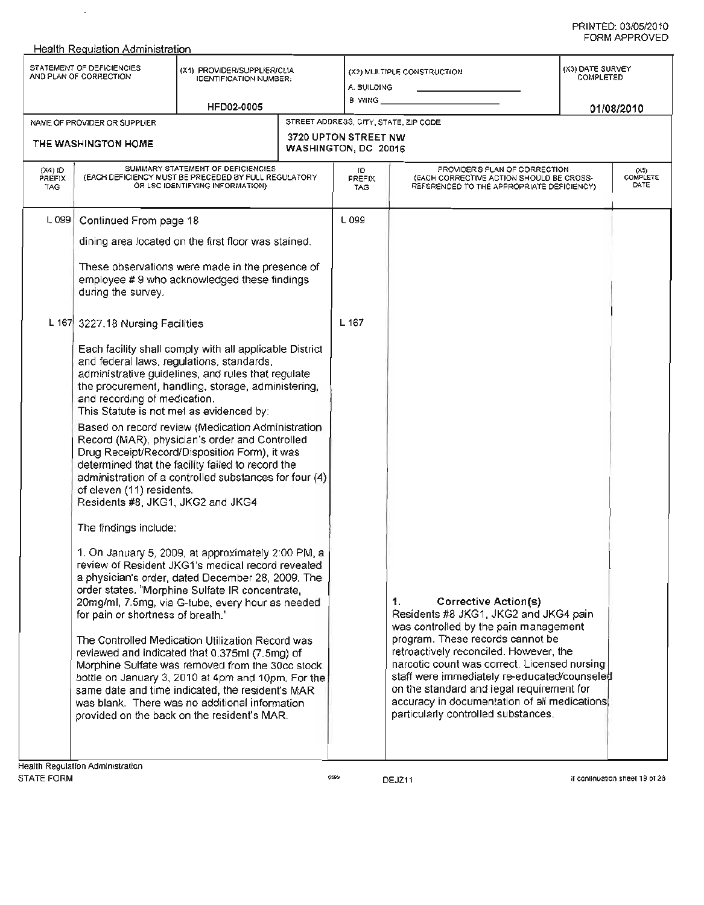#### Health Reaulation Administration STATEMENT OF DEFICIENCIES STATEMENT OF DEFICIENCIES (X1) PROVIDER/SUPPLIER/CLIA<br>AND PLAN OF CORRECTION IDENTIFICATION NUMBER: NAME OF PROVIDER OR SUPPLIER HFD02-0005 (X2) MULTIPLE CONSTRUCTION A BUILDING B. WING \_ 01/08/2010 (X3) DATE SURVEY COMPLETED STREET ADDRESS, CITY, STATE, ZIP CODE 3720 UPTON STREET NW THE WASHINGTON HOME WASHINGTON, DC 20016 (X4) 10 PREFIX TAG SUMMARY STATEMENT OF DEFICIENCIES (EACH DEFICIENCY MUST BE PRECEDED BY FULL REGULATORY OR LSC IDENTIFYING INFORMATION) L 099 Continued From page 18 dining area located on the first floor was stained. These observations were made in the presence of employee # 9 who acknowledged these findings during the survey. L 167 3227.18 Nursing Facilities Each facility shall comply with all applicable District and federal laws, regulations, standards, administrative guidelines, and rules that regulate the procurement, handling, storage, administering, and recording of medication. This Statute is not met as evidenced by: Based on record review (Medication Administration Record (MAR), physician's order and Controlled Drug Receipt/Record/Disposition Form), it was determined that the facility failed to record the administration of a controlled substances for four (4) of eleven (11) residents. Residents #8, JKG1, JKG2 and JKG4 The findings include: 1. On January 5, 2009, at approximately 2:00 PM, a review of Resident JKG1's medical record revealed a physician's order, dated December 28, 2009. The order states, "Morphine Sulfate IR concentrate, 20mg/ml, 7.5mg, via G-tube, every hour as needed for pain or shortness of breath." The Controlled Medication Utilization Record was reviewed and indicated that 0.375ml (7.5mg) of Morphine Sulfate was removed from the 30cc stock bottle on January 3, 2010 at 4pm and 10pm. For the same date and time indicated, the resident's MAR was blank. There was no additional information provided on the back on the resident's MAR. **Health Regulation Administration** 10 PREFIX TAG L 099 L 167 PROVIDER'S PLAN OF CORRECTION (EACH CORRECTIVE ACTION SHOULD BE CROSS-REFERENCED TO THE APPROPRIATE DEFICIENCY) (X5) COMPLETE **DATE** 1. Corrective Action(s) Residents #8 JKG1, JKG2 and JKG4 pain was controlled by the pain management program. These records cannot be retroactively reconciled. However, the narcotic count was correct. Licensed nursing staff were immediately re-educated/counseled on the standard and legal requirement for accuracy in documentation of all medications particularly controlled substances.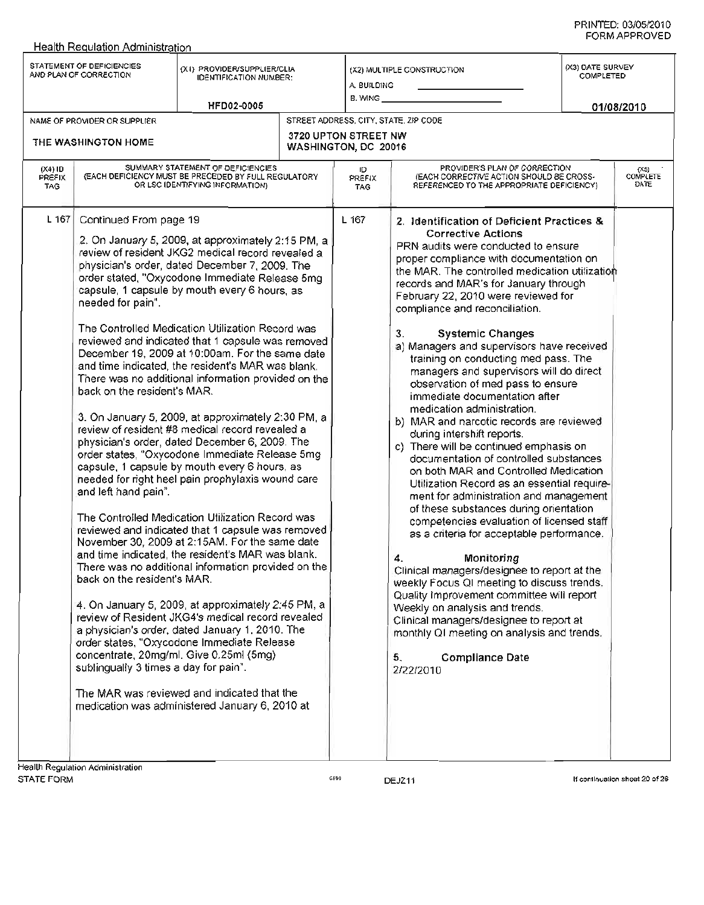| Health Requlation Administration                                                                                                                                                    |                                                                                                                                                                                                                                                                                                                                                                                                                                                                                                                                                                                                                                                                                                                                                                                                                                                                                                                                                                                                                                                                                                                                                                                                                                                                                                                                                                                                                                                                                        |                                                     |                                                                                                                                                                                                                                                                                                                                                                                                                                                                                                                                                                                                                                                                                                                                                                                                                                                                                                                                                                                                                                                                                                                                                                                                                                                                                                                                                                              |                               |                            |
|-------------------------------------------------------------------------------------------------------------------------------------------------------------------------------------|----------------------------------------------------------------------------------------------------------------------------------------------------------------------------------------------------------------------------------------------------------------------------------------------------------------------------------------------------------------------------------------------------------------------------------------------------------------------------------------------------------------------------------------------------------------------------------------------------------------------------------------------------------------------------------------------------------------------------------------------------------------------------------------------------------------------------------------------------------------------------------------------------------------------------------------------------------------------------------------------------------------------------------------------------------------------------------------------------------------------------------------------------------------------------------------------------------------------------------------------------------------------------------------------------------------------------------------------------------------------------------------------------------------------------------------------------------------------------------------|-----------------------------------------------------|------------------------------------------------------------------------------------------------------------------------------------------------------------------------------------------------------------------------------------------------------------------------------------------------------------------------------------------------------------------------------------------------------------------------------------------------------------------------------------------------------------------------------------------------------------------------------------------------------------------------------------------------------------------------------------------------------------------------------------------------------------------------------------------------------------------------------------------------------------------------------------------------------------------------------------------------------------------------------------------------------------------------------------------------------------------------------------------------------------------------------------------------------------------------------------------------------------------------------------------------------------------------------------------------------------------------------------------------------------------------------|-------------------------------|----------------------------|
| STATEMENT OF DEFICIENCIES<br>AND PLAN OF CORRECTION                                                                                                                                 | (X1) PROVIDER/SUPPLIER/CLIA<br><b>IDENTIFICATION NUMBER:</b><br><b>HFD02-0005</b>                                                                                                                                                                                                                                                                                                                                                                                                                                                                                                                                                                                                                                                                                                                                                                                                                                                                                                                                                                                                                                                                                                                                                                                                                                                                                                                                                                                                      | A. BUILDING<br>$B.$ WING $\_$                       | (X2) MULTIPLE CONSTRUCTION                                                                                                                                                                                                                                                                                                                                                                                                                                                                                                                                                                                                                                                                                                                                                                                                                                                                                                                                                                                                                                                                                                                                                                                                                                                                                                                                                   | (X3) DATE SURVEY<br>COMPLETED | 01/08/2010                 |
| NAME OF PROVIDER OR SUPPLIER                                                                                                                                                        |                                                                                                                                                                                                                                                                                                                                                                                                                                                                                                                                                                                                                                                                                                                                                                                                                                                                                                                                                                                                                                                                                                                                                                                                                                                                                                                                                                                                                                                                                        |                                                     | STREET ADDRESS, CITY, STATE, ZIP CODE                                                                                                                                                                                                                                                                                                                                                                                                                                                                                                                                                                                                                                                                                                                                                                                                                                                                                                                                                                                                                                                                                                                                                                                                                                                                                                                                        |                               |                            |
| THE WASHINGTON HOME                                                                                                                                                                 |                                                                                                                                                                                                                                                                                                                                                                                                                                                                                                                                                                                                                                                                                                                                                                                                                                                                                                                                                                                                                                                                                                                                                                                                                                                                                                                                                                                                                                                                                        | <b>3720 UPTON STREET NW</b><br>WASHINGTON, DC 20016 |                                                                                                                                                                                                                                                                                                                                                                                                                                                                                                                                                                                                                                                                                                                                                                                                                                                                                                                                                                                                                                                                                                                                                                                                                                                                                                                                                                              |                               |                            |
| $(X4)$ ID<br><b>PREFIX</b><br>TAG.                                                                                                                                                  | SUMMARY STATEMENT OF DEFICIENCIES<br>(EACH DEFICIENCY MUST BE PRECEDED BY FULL REGULATORY<br>OR LSC IDENTIFYING INFORMATION)                                                                                                                                                                                                                                                                                                                                                                                                                                                                                                                                                                                                                                                                                                                                                                                                                                                                                                                                                                                                                                                                                                                                                                                                                                                                                                                                                           | ID.<br>PREFIX<br><b>TAG</b>                         | PROVIDER'S PLAN OF CORRECTION<br>(EACH CORRECTIVE ACTION SHOULD BE CROSS-<br>REFERENCED TO THE APPROPRIATE DEFICIENCY)                                                                                                                                                                                                                                                                                                                                                                                                                                                                                                                                                                                                                                                                                                                                                                                                                                                                                                                                                                                                                                                                                                                                                                                                                                                       |                               | $(X5)$<br>COMPLETE<br>DATE |
| L 167<br>Continued From page 19<br>needed for pain".<br>back on the resident's MAR.<br>and left hand pain".<br>back on the resident's MAR.<br>sublingually 3 times a day for pain". | 2. On January 5, 2009, at approximately 2:15 PM, a<br>review of resident JKG2 medical record revealed a<br>physician's order, dated December 7, 2009. The<br>order stated, "Oxycodone Immediate Release 5mg<br>capsule, 1 capsule by mouth every 6 hours, as<br>The Controlled Medication Utilization Record was<br>reviewed and indicated that 1 capsule was removed<br>December 19, 2009 at 10:00am. For the same date<br>and time indicated, the resident's MAR was blank.<br>There was no additional information provided on the<br>3. On January 5, 2009, at approximately 2:30 PM, a<br>review of resident #8 medical record revealed a<br>physician's order, dated December 6, 2009. The<br>order states, "Oxycodone Immediate Release 5mg<br>capsule, 1 capsule by mouth every 6 hours, as<br>needed for right heel pain prophylaxis wound care<br>The Controlled Medication Utilization Record was<br>reviewed and indicated that 1 capsule was removed<br>November 30, 2009 at 2:15AM. For the same date<br>and time indicated, the resident's MAR was blank.<br>There was no additional information provided on the<br>4. On January 5, 2009, at approximately 2:45 PM, a<br>review of Resident JKG4's medical record revealed<br>a physician's order, dated January 1, 2010. The<br>order states, "Oxycodone Immediate Release<br>concentrate, 20mg/ml. Give 0.25ml (5mg)<br>The MAR was reviewed and indicated that the<br>medication was administered January 6, 2010 at | L 167                                               | 2. Identification of Deficient Practices &<br><b>Corrective Actions</b><br>PRN audits were conducted to ensure<br>proper compliance with documentation on<br>the MAR. The controlled medication utilization<br>records and MAR's for January through<br>February 22, 2010 were reviewed for<br>compliance and reconciliation.<br>З.<br><b>Systemic Changes</b><br>a) Managers and supervisors have received<br>training on conducting med pass. The<br>managers and supervisors will do direct<br>observation of med pass to ensure<br>immediate documentation after<br>medication administration.<br>b) MAR and narcotic records are reviewed<br>during intershift reports.<br>c) There will be continued emphasis on<br>documentation of controlled substances<br>on both MAR and Controlled Medication<br>Utilization Record as an essential require-<br>ment for administration and management<br>of these substances during orientation<br>competencies evaluation of licensed staff<br>as a criteria for acceptable performance.<br>4.<br>Monitoring<br>Clinical managers/designee to report at the<br>weekly Focus QI meeting to discuss trends.<br>Quality Improvement committee will report<br>Weekly on analysis and trends.<br>Clinical managers/designee to report at<br>monthly QI meeting on analysis and trends,<br><b>Compliance Date</b><br>5.<br>2/22/2010 |                               |                            |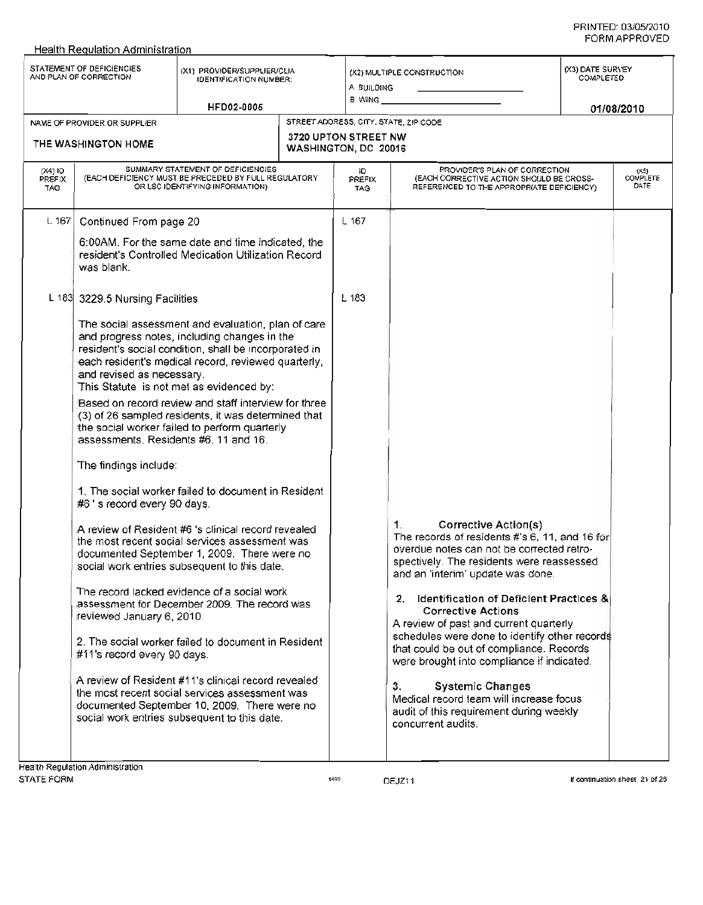|                                        | Health Regulation Administration                    |                                                                                                                                                                                                                                                                |                                                     |                                                                                                                                                                                                             |                               |                                 |
|----------------------------------------|-----------------------------------------------------|----------------------------------------------------------------------------------------------------------------------------------------------------------------------------------------------------------------------------------------------------------------|-----------------------------------------------------|-------------------------------------------------------------------------------------------------------------------------------------------------------------------------------------------------------------|-------------------------------|---------------------------------|
|                                        | STATEMENT OF DEFICIENCIES<br>AND PLAN OF CORRECTION | (X1) PROVIDER/SUPPLIER/CLIA<br><b>IDENTIFICATION NUMBER:</b><br><b>HFD02-0005</b>                                                                                                                                                                              | A BUILDING<br>B WING _                              | (X2) MULTIPLE CONSTRUCTION                                                                                                                                                                                  | (X3) DATE SURVEY<br>COMPLETED | 01/08/2010                      |
|                                        | NAME OF PROVIDER OR SUPPLIER                        |                                                                                                                                                                                                                                                                |                                                     | STREET ADDRESS, CITY, STATE, 2IP CODE                                                                                                                                                                       |                               |                                 |
|                                        | THE WASHINGTON HOME                                 |                                                                                                                                                                                                                                                                | <b>3720 UPTON STREET NW</b><br>WASHINGTON, DC 20016 |                                                                                                                                                                                                             |                               |                                 |
| (X4) ID<br><b>PREFIX</b><br><b>TAG</b> |                                                     | SUMMARY STATEMENT OF DEFICIENCIES<br>(EACH DEFICIENCY MUST BE PRECEDED BY FULL REGULATORY<br>OR LSC IDENTIFYING INFORMATION)                                                                                                                                   | ю<br>PREFIX<br><b>TAG</b>                           | PROVIDER'S PLAN OF CORRECTION<br>(EACH CORRECTIVE ACTION SHOULD BE CROSS-<br>REFERENCED TO THE APPROPRIATE DEFICIENCY)                                                                                      |                               | (X5)<br><b>COMPLETE</b><br>DATE |
| L 167 $\vert$                          | Continued From page 20                              |                                                                                                                                                                                                                                                                | $L$ 167                                             |                                                                                                                                                                                                             |                               |                                 |
|                                        | was blank.                                          | 6:00AM. For the same date and time indicated, the<br>resident's Controlled Medication Utilization Record                                                                                                                                                       |                                                     |                                                                                                                                                                                                             |                               |                                 |
|                                        | L 183 3229.5 Nursing Facilities                     |                                                                                                                                                                                                                                                                | L183                                                |                                                                                                                                                                                                             |                               |                                 |
|                                        | and revised as necessary.                           | The social assessment and evaluation, plan of care<br>and progress notes, including changes in the<br>resident's social condition, shall be incorporated in<br>each resident's medical record, reviewed quarterly,<br>This Statute is not met as evidenced by: |                                                     |                                                                                                                                                                                                             |                               |                                 |
|                                        | assessments. Residents #6, 11 and 16.               | Based on record review and staff interview for three<br>(3) of 26 sampled residents, it was determined that<br>the social worker failed to perform quarterly                                                                                                   |                                                     |                                                                                                                                                                                                             |                               |                                 |
|                                        | The findings include:                               |                                                                                                                                                                                                                                                                |                                                     |                                                                                                                                                                                                             |                               |                                 |
|                                        | #6's record every 90 days.                          | 1. The social worker failed to document in Resident                                                                                                                                                                                                            |                                                     |                                                                                                                                                                                                             |                               |                                 |
|                                        |                                                     | A review of Resident #6 's clinical record revealed<br>the most recent social services assessment was<br>documented September 1, 2009. There were no<br>social work entries subsequent to this date.                                                           |                                                     | Corrective Action(s)<br>1.<br>The records of residents #'s 6, 11, and 16 for<br>overdue notes can not be corrected retro-<br>spectively. The residents were reassessed<br>and an 'interim' update was done. |                               |                                 |
|                                        | reviewed January 6, 2010.                           | The record lacked evidence of a social work<br>assessment for December 2009. The record was                                                                                                                                                                    |                                                     | <b>Identification of Deficient Practices &amp;</b><br>2.<br><b>Corrective Actions</b><br>A review of past and current quarterly                                                                             |                               |                                 |
|                                        | #11's record every 90 days.                         | 2. The social worker failed to document in Resident                                                                                                                                                                                                            |                                                     | schedules were done to identify other records<br>that could be out of compliance. Records<br>were brought into compliance if indicated.                                                                     |                               |                                 |
|                                        |                                                     | A review of Resident #11's clinical record revealed<br>the most recent social services assessment was<br>documented September 10, 2009. There were no<br>social work entries subsequent to this date.                                                          |                                                     | <b>Systemic Changes</b><br>3.<br>Medical record team will increase focus<br>audit of this requirement during weekly<br>concurrent audits.                                                                   |                               |                                 |
|                                        | isalth Dominion Administration                      |                                                                                                                                                                                                                                                                |                                                     |                                                                                                                                                                                                             |                               |                                 |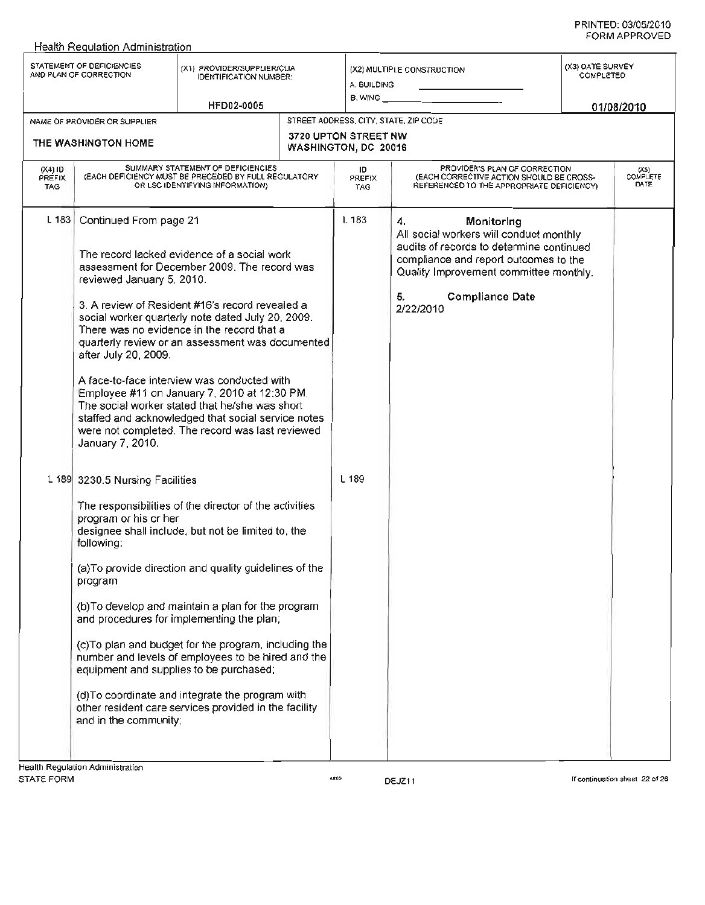|                                 | Health Requlation Administration                                                                           |                                                                                                                                                                                                                                                                                                                                                                                                                                                                                                                                                                  |                                              |                                                                                                                                                                                                                                         |                               |                                 |
|---------------------------------|------------------------------------------------------------------------------------------------------------|------------------------------------------------------------------------------------------------------------------------------------------------------------------------------------------------------------------------------------------------------------------------------------------------------------------------------------------------------------------------------------------------------------------------------------------------------------------------------------------------------------------------------------------------------------------|----------------------------------------------|-----------------------------------------------------------------------------------------------------------------------------------------------------------------------------------------------------------------------------------------|-------------------------------|---------------------------------|
|                                 | STATEMENT OF DEFICIENCIES<br>AND PLAN OF CORRECTION                                                        | (X1) PROVIDER/SUPPLIER/CLIA<br><b>IDENTIFICATION NUMBER:</b><br>HFD02-0005                                                                                                                                                                                                                                                                                                                                                                                                                                                                                       | A. BUILDING<br>B. WING                       | (X2) MULTIPLE CONSTRUCTION                                                                                                                                                                                                              | (X3) DATE SURVEY<br>COMPLETED | 01/08/2010                      |
|                                 | NAME OF PROVIDER OR SUPPLIER                                                                               |                                                                                                                                                                                                                                                                                                                                                                                                                                                                                                                                                                  |                                              | STREET AODRESS, CITY, STATE, ZIP CODE                                                                                                                                                                                                   |                               |                                 |
|                                 | THE WASHINGTON HOME                                                                                        |                                                                                                                                                                                                                                                                                                                                                                                                                                                                                                                                                                  | 3720 UPTON STREET NW<br>WASHINGTON, DC 20016 |                                                                                                                                                                                                                                         |                               |                                 |
| (X4) ID<br>PREFIX<br><b>TAG</b> |                                                                                                            | SUMMARY STATEMENT OF DEFICIENCIES<br>(EACH DEFICIENCY MUST BE PRECEDED BY FULL REGULATORY<br>OR LSC IDENTIFYING INFORMATION)                                                                                                                                                                                                                                                                                                                                                                                                                                     | ID.<br>PREFIX<br>TAG.                        | PROVIDER'S PLAN OF CORRECTION<br>(EACH CORRECTIVE ACTION SHOULD BE CROSS-<br>REFERENCED TO THE APPROPRIATE DEFICIENCY).                                                                                                                 |                               | (XS)<br><b>COMPLETE</b><br>DATE |
| $L$ 183                         | Continued From page 21<br>reviewed January 5, 2010.<br>after July 20, 2009.<br>January 7, 2010.            | The record lacked evidence of a social work<br>assessment for December 2009. The record was<br>3. A review of Resident #16's record revealed a<br>social worker quarterly note dated July 20, 2009.<br>There was no evidence in the record that a<br>quarterly review or an assessment was documented<br>A face-to-face interview was conducted with<br>Employee #11 on January 7, 2010 at 12:30 PM.<br>The social worker stated that he/she was short<br>staffed and acknowledged that social service notes<br>were not completed. The record was last reviewed | L <sub>183</sub>                             | Monitoring<br>4.<br>All social workers will conduct monthly<br>audits of records to determine continued<br>compliance and report outcomes to the<br>Quality Improvement committee monthly.<br><b>Compliance Date</b><br>5.<br>2/22/2010 |                               |                                 |
|                                 | L 189 3230.5 Nursing Facilities<br>program or his or her<br>following:<br>program<br>and in the community; | The responsibilities of the director of the activities<br>designee shall include, but not be limited to, the<br>(a) To provide direction and quality guidelines of the<br>(b) To develop and maintain a plan for the program<br>and procedures for implementing the plan;<br>(c)To plan and budget for the program, including the<br>number and levels of employees to be hired and the<br>equipment and supplies to be purchased;<br>(d) To coordinate and integrate the program with<br>other resident care services provided in the facility                  | L 189                                        |                                                                                                                                                                                                                                         |                               |                                 |
|                                 | Health Regulation Administration                                                                           |                                                                                                                                                                                                                                                                                                                                                                                                                                                                                                                                                                  |                                              |                                                                                                                                                                                                                                         |                               |                                 |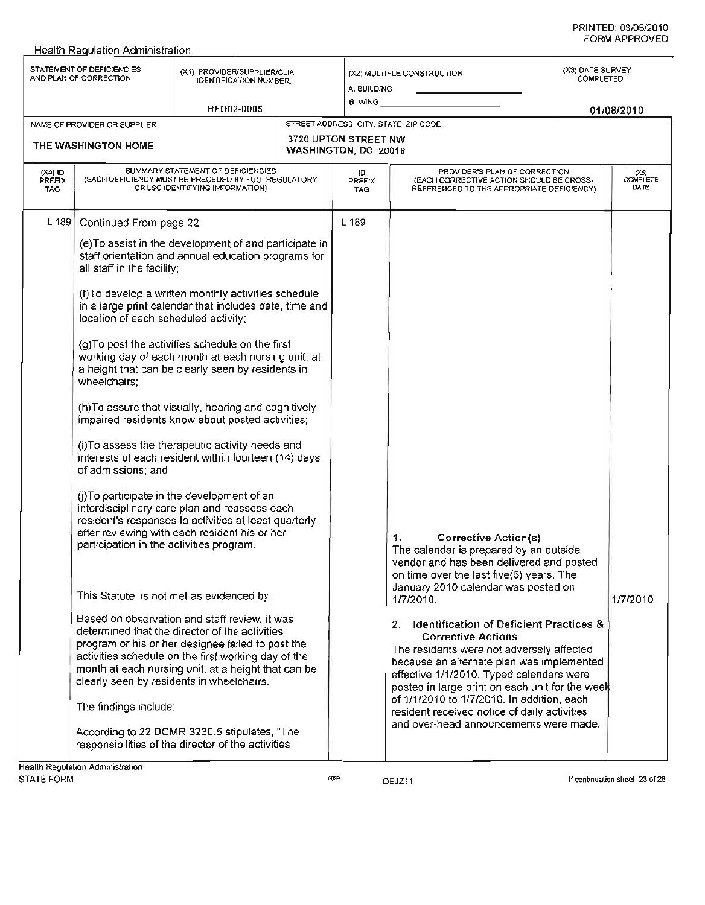|                            | STATEMENT OF DEFICIENCIES<br>AND PLAN OF CORRECTION                                                                                                                                                                                                  | (X1) PROVIDER/SUPPLIER/CLIA<br><b>IDENTIFICATION NUMBER:</b>                                                                                                                                                                                                                                                                                                                                                                                                                                                                                                                                                                                                                                                                                                                                                                                                                                                                                                                                                                                                                                                                                                                                      | A. BUILDING                                  | (X2) MULTIPLE CONSTRUCTION                                                                                                                                                                                                                                                                                                                                                                                                                                                                                                                                                                                                                        | (X3) DATE SURVEY<br>COMPLETED |                                                                       |
|----------------------------|------------------------------------------------------------------------------------------------------------------------------------------------------------------------------------------------------------------------------------------------------|---------------------------------------------------------------------------------------------------------------------------------------------------------------------------------------------------------------------------------------------------------------------------------------------------------------------------------------------------------------------------------------------------------------------------------------------------------------------------------------------------------------------------------------------------------------------------------------------------------------------------------------------------------------------------------------------------------------------------------------------------------------------------------------------------------------------------------------------------------------------------------------------------------------------------------------------------------------------------------------------------------------------------------------------------------------------------------------------------------------------------------------------------------------------------------------------------|----------------------------------------------|---------------------------------------------------------------------------------------------------------------------------------------------------------------------------------------------------------------------------------------------------------------------------------------------------------------------------------------------------------------------------------------------------------------------------------------------------------------------------------------------------------------------------------------------------------------------------------------------------------------------------------------------------|-------------------------------|-----------------------------------------------------------------------|
|                            |                                                                                                                                                                                                                                                      | HFD02-0005                                                                                                                                                                                                                                                                                                                                                                                                                                                                                                                                                                                                                                                                                                                                                                                                                                                                                                                                                                                                                                                                                                                                                                                        | 8. WING _                                    |                                                                                                                                                                                                                                                                                                                                                                                                                                                                                                                                                                                                                                                   |                               | 01/08/2010                                                            |
|                            | NAME OF PROVIDER OR SUPPLIER                                                                                                                                                                                                                         |                                                                                                                                                                                                                                                                                                                                                                                                                                                                                                                                                                                                                                                                                                                                                                                                                                                                                                                                                                                                                                                                                                                                                                                                   |                                              | STREET ADDRESS, CITY, STATE, ZIP CODE                                                                                                                                                                                                                                                                                                                                                                                                                                                                                                                                                                                                             |                               |                                                                       |
|                            | THE WASHINGTON HOME                                                                                                                                                                                                                                  |                                                                                                                                                                                                                                                                                                                                                                                                                                                                                                                                                                                                                                                                                                                                                                                                                                                                                                                                                                                                                                                                                                                                                                                                   | 3720 UPTON STREET NW<br>WASHINGTON, DC 20016 |                                                                                                                                                                                                                                                                                                                                                                                                                                                                                                                                                                                                                                                   |                               |                                                                       |
| $(X4)$ ID<br>PREFIX<br>TAG |                                                                                                                                                                                                                                                      | SUMMARY STATEMENT OF DEFICIENCIES<br>(EACH DEFICIENCY MUST BE PRECEDED BY FULL REGULATORY<br>OR LSC IDENTIFYING INFORMATION)                                                                                                                                                                                                                                                                                                                                                                                                                                                                                                                                                                                                                                                                                                                                                                                                                                                                                                                                                                                                                                                                      | ID<br>PREFIX<br>TAG                          | PROVIDER'S PLAN OF CORRECTION<br>(EACH CORRECTIVE ACTION SHOULD BE CROSS-<br>REFERENCED TO THE APPROPRIATE DEFICIENCY)                                                                                                                                                                                                                                                                                                                                                                                                                                                                                                                            |                               | $\begin{array}{c} \text{(X5)} \\ \text{COMPLETE} \end{array}$<br>DATE |
| $L$ 189                    | Continued From page 22<br>all staff in the facility;<br>location of each scheduled activity;<br>wheelchairs;<br>of admissions; and<br>participation in the activities program.<br>clearly seen by residents in wheelchairs.<br>The findings include: | (e) To assist in the development of and participate in<br>staff orientation and annual education programs for<br>(f) To develop a written monthly activities schedule<br>in a large print calendar that includes date, time and<br>(g) To post the activities schedule on the first<br>working day of each month at each nursing unit, at<br>a height that can be clearly seen by residents in<br>(h) To assure that visually, hearing and cognitively<br>Impaired residents know about posted activities;<br>(i) To assess the therapeutic activity needs and<br>interests of each resident within fourteen (14) days<br>(j)To participate in the development of an<br>interdisciplinary care plan and reassess each<br>resident's responses to activities at least quarterly<br>after reviewing with each resident his or her<br>This Statute is not met as evidenced by:<br>Based on observation and staff review, it was<br>determined that the director of the activities<br>program or his or her designee failed to post the<br>activities schedule on the first working day of the<br>month at each nursing unit, at a height that can be<br>According to 22 DCMR 3230.5 stipulates, "The | L 189                                        | <b>Corrective Action(s)</b><br>1.<br>The calendar is prepared by an outside<br>vendor and has been delivered and posted<br>on time over the last five(5) years. The<br>January 2010 calendar was posted on<br>1/7/2010.<br><b>Identification of Deficient Practices &amp;</b><br>2.<br><b>Corrective Actions</b><br>The residents were not adversely affected<br>because an alternate plan was implemented<br>effective 1/1/2010. Typed calendars were<br>posted in large print on each unit for the week<br>of 1/1/2010 to 1/7/2010. In addition, each<br>resident received notice of daily activities<br>and over-head announcements were made. |                               | 1/7/2010                                                              |
|                            | Health Regulation Administration                                                                                                                                                                                                                     | responsibilities of the director of the activities                                                                                                                                                                                                                                                                                                                                                                                                                                                                                                                                                                                                                                                                                                                                                                                                                                                                                                                                                                                                                                                                                                                                                |                                              |                                                                                                                                                                                                                                                                                                                                                                                                                                                                                                                                                                                                                                                   |                               |                                                                       |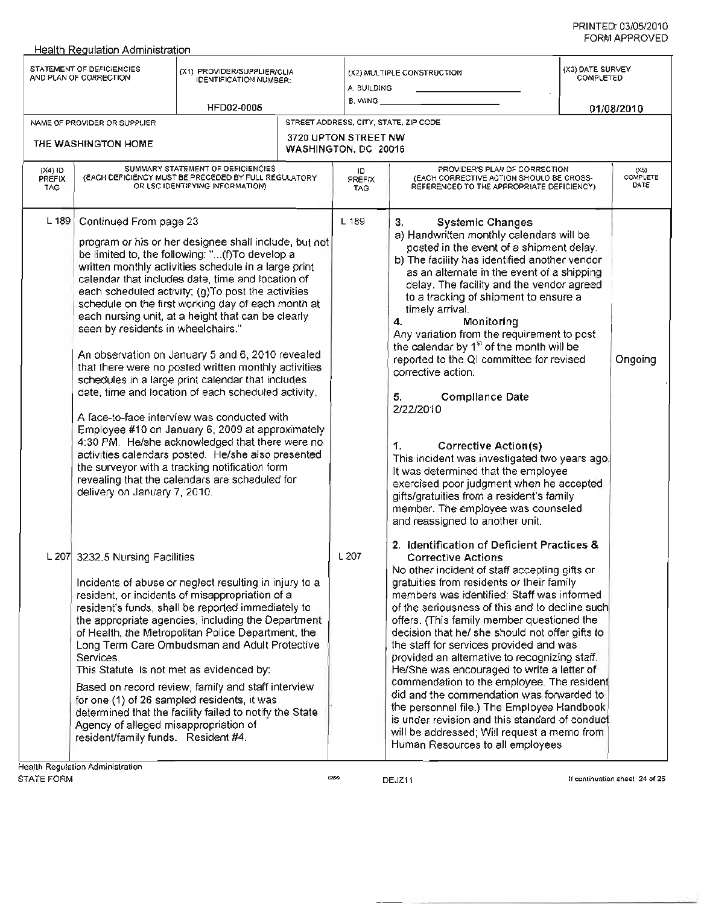#### Health Reaulation Administration STATEMENT OF DEFICIENCIES STATEMENT OF DEFICIENCIES  $\alpha$ 1) PROVIDER/SUPPLIER/CLIA<br>AND PLAN OF CORRECTION (CONTRECATION ALWER) IDENTIFICATION NUMBER: NAME OF PROVIDER OR SUPPLIER HFD02-0005 (X2) MULTIPLE CONSTRUCTION A. BUILDING B. WING \_ (X3) DATE SURVEY COMPLETED *01/08/2010* (X4) ID PREFIX TAG ردی<br>COMPLETE **DATE** STREET ADDRESS, CITY, STATE, ZIP CODE 3720 UPTON STREET NW THE WASHINGTON HOME<br>WASHINGTON, DC 20016 SUMMARY STATEMENT OF DEFICIENCIES (EACH DEFICIENCY MUST BE PRECEDED BY FULL REGULATORY OR LSC IDENTIFYING INFORMATION) L 189 Continued From page 23 L 189 program or his or her designee shall include, but not be limited to, the following: "...(f)To develop a written monthly activities schedule in a large print calendar that includes date, time and location of each scheduled activity; (g)To post the activities schedule on the first working day of each month at each nursing unit, at a height that can be clearly seen by residents in wheelchairs." An observation on January 5 and 6, 2010 revealed that there were no posted written monthly activities schedules in a large print calendar that includes date, time and location of each scheduled activity. A face-to-face interview was conducted with Employee #10 on January 6,2009 at approximately 4:30 PM. He/she acknowledged that there were no activities calendars posted. He/she also presented the surveyor with a tracking notification form revealing that the calendars are scheduled for delivery on January 7, 2010. L 207 3232.5 Nursing Facilities L 207 Incidents of abuse or neglect resulting in injury to a resident, or incidents of misappropriation of a resident's funds, shall be reported immediately to the appropriate agencies, including the Department of Health, the Metropolitan Police Department, the Long Term Care Ombudsman and Adult Protective **Services** This Statute is not met as evidenced by: Based on record review, family and *staff* interview for one (1) of 26 sampled residents, it was determined that the facility failed to notify the State Agency of alleged misappropriation of residenUfamily funds. Resident #4. Health Regulation Administration ID PREFIX TAG 3. Systemic Changes a) Handwritten monthly calendars will be posted in the event of a shipment delay. b) The facility has identified another vendor as an alternate in the event of a shipping delay. The facility and the vendor agreed to a tracking of shipment to ensure a timely arrival. 4. Monitoring Any variation from the requirement to post the calendar by  $1<sup>st</sup>$  of the month will be reported to the 01 committee for revised Ongoing corrective action. PROVIDER'S PLAN OF CORRECTION (EACH CORRECTIVE ACTION SHOULD BE CROSS-REFERENCED TO THE APPROPRIATE DEFICIENCY) 5. Compliance Date 2/22/2010 1. Corrective Action(s) This incident was investigated two years ago. It was determined that the employee exercised poor judgment when he accepted gifts/gratuities from a resident's family member. The employee was counseled and reassigned to another unit. 2. Identification of Deficient Practices & Corrective Actions No other incident of *staff* accepting gifts or gratuities from residents or their family members was identified; *Staff* was informed of the seriousness of this and to decline such offers. (This family member questioned the decision that he/ she should not *offer* gifts to the *staff* for services provided and was provided an alternative to recognizing *staff.* He/She was encouraged to write a letter of commendation to the employee. The residen did and the commendation was forwarded to the personnel file.) The Employee Handbook is under revision and this standard of conduc will be addressed; Will request a memo from Human Resources to all employees

DEJZ11 **If continuation sheet 24 of 26**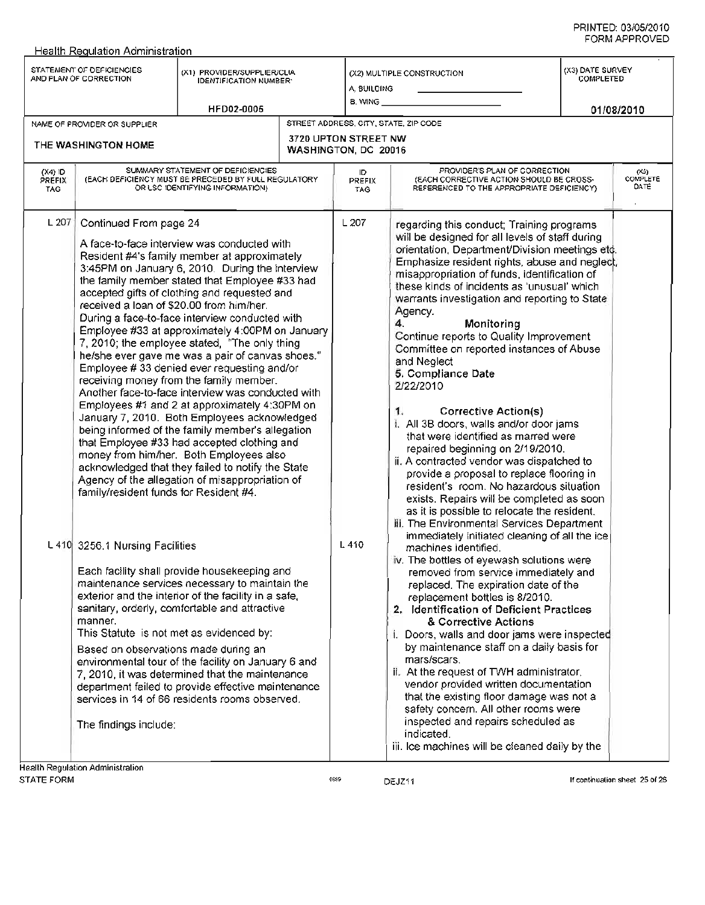|                                   | STATEMENT OF DEFICIENCIES<br>AND PLAN OF CORRECTION                                                                                                                                                | (X1) PROVIDER/SUPPLIER/CLIA<br><b>IDENTIFICATION NUMBER:</b><br><b>HFD02-0005</b>                                                                                                                                                                                                                                                                                                                                                                                                                                                                                                                                                                                                                                                                                                                                                                                                                                                                                                                                                                                                                                                                                                                                                                                             |                      | A, BUILDING<br>8. WING __    | (X2) MULTIPLE CONSTRUCTION                                                                                                                                                                                                                                                                                                                                                                                                                                                                                                                                                                                                                                                                                                                                                                                                                                                                                                                                                                                                                                                                                                                                                                                                                                                                                                                                                               | (X3) DATE SURVEY<br><b>COMPLETED</b><br>01/08/2010 |                             |
|-----------------------------------|----------------------------------------------------------------------------------------------------------------------------------------------------------------------------------------------------|-------------------------------------------------------------------------------------------------------------------------------------------------------------------------------------------------------------------------------------------------------------------------------------------------------------------------------------------------------------------------------------------------------------------------------------------------------------------------------------------------------------------------------------------------------------------------------------------------------------------------------------------------------------------------------------------------------------------------------------------------------------------------------------------------------------------------------------------------------------------------------------------------------------------------------------------------------------------------------------------------------------------------------------------------------------------------------------------------------------------------------------------------------------------------------------------------------------------------------------------------------------------------------|----------------------|------------------------------|------------------------------------------------------------------------------------------------------------------------------------------------------------------------------------------------------------------------------------------------------------------------------------------------------------------------------------------------------------------------------------------------------------------------------------------------------------------------------------------------------------------------------------------------------------------------------------------------------------------------------------------------------------------------------------------------------------------------------------------------------------------------------------------------------------------------------------------------------------------------------------------------------------------------------------------------------------------------------------------------------------------------------------------------------------------------------------------------------------------------------------------------------------------------------------------------------------------------------------------------------------------------------------------------------------------------------------------------------------------------------------------|----------------------------------------------------|-----------------------------|
|                                   | NAME OF PROVIDER OR SUPPLIER                                                                                                                                                                       |                                                                                                                                                                                                                                                                                                                                                                                                                                                                                                                                                                                                                                                                                                                                                                                                                                                                                                                                                                                                                                                                                                                                                                                                                                                                               |                      |                              | STREET ADDRESS, CITY, STATE, ZIP CODE                                                                                                                                                                                                                                                                                                                                                                                                                                                                                                                                                                                                                                                                                                                                                                                                                                                                                                                                                                                                                                                                                                                                                                                                                                                                                                                                                    |                                                    |                             |
|                                   | THE WASHINGTON HOME                                                                                                                                                                                |                                                                                                                                                                                                                                                                                                                                                                                                                                                                                                                                                                                                                                                                                                                                                                                                                                                                                                                                                                                                                                                                                                                                                                                                                                                                               | WASHINGTON, DC 20016 | <b>3720 UPTON STREET NW</b>  |                                                                                                                                                                                                                                                                                                                                                                                                                                                                                                                                                                                                                                                                                                                                                                                                                                                                                                                                                                                                                                                                                                                                                                                                                                                                                                                                                                                          |                                                    |                             |
| $(X4)$ ID<br>PREFIX<br><b>TAG</b> |                                                                                                                                                                                                    | SUMMARY STATEMENT OF DEFICIENCIES<br>(EACH DEFICIENCY MUST BE PRECEDED BY FULL REGULATORY<br>OR LSC IDENTIFYING INFORMATION)                                                                                                                                                                                                                                                                                                                                                                                                                                                                                                                                                                                                                                                                                                                                                                                                                                                                                                                                                                                                                                                                                                                                                  |                      | ID.<br><b>PREFIX</b><br>TAG. | PROVIDER'S PLAN OF CORRECTION<br>(EACH CORRECTIVE ACTION SHOULD BE CROSS-<br>REFERENCED TO THE APPROPRIATE DEFICIENCY)                                                                                                                                                                                                                                                                                                                                                                                                                                                                                                                                                                                                                                                                                                                                                                                                                                                                                                                                                                                                                                                                                                                                                                                                                                                                   |                                                    | $(X_2)$<br>COMPLETE<br>DATE |
| L207                              | Continued From page 24<br>received a loan of \$20.00 from him/her.<br>family/resident funds for Resident #4.<br>L 410 3256.1 Nursing Facilities<br>manner.<br>Based on observations made during an | A face-to-face interview was conducted with<br>Resident #4's family member at approximately<br>3:45PM on January 6, 2010. During the interview<br>the family member stated that Employee #33 had<br>accepted gifts of clothing and requested and<br>During a face-to-face interview conducted with<br>Employee #33 at approximately 4:00PM on January<br>7, 2010; the employee stated, "The only thing<br>he/she ever gave me was a pair of canvas shoes."<br>Employee #33 denied ever requesting and/or<br>receiving money from the family member.<br>Another face-to-face interview was conducted with<br>Employees #1 and 2 at approximately 4:30PM on<br>January 7, 2010. Both Employees acknowledged<br>being informed of the family member's allegation<br>that Employee #33 had accepted clothing and<br>money from him/her. Both Employees also<br>acknowledged that they failed to notify the State<br>Agency of the allegation of misappropriation of<br>Each facility shall provide housekeeping and<br>maintenance services necessary to maintain the<br>exterior and the interior of the facility in a safe,<br>sanitary, orderly, comfortable and attractive<br>This Statute is not met as evidenced by:<br>environmental tour of the facility on January 6 and |                      | L 207<br>L 410               | regarding this conduct; Training programs<br>will be designed for all levels of staff during<br>orientation, Department/Division meetings etc.<br>Emphasize resident rights, abuse and neglect,<br>misappropriation of funds, identification of<br>these kinds of incidents as 'unusual' which<br>warrants investigation and reporting to State<br>Agency.<br>4.<br>Monitoring<br>Continue reports to Quality Improvement<br>Committee on reported instances of Abuse<br>and Neglect<br>5. Compliance Date<br>2/22/2010<br><b>Corrective Action(s)</b><br>1.<br>i. All 3B doors, walls and/or door jams<br>that were identified as marred were<br>repaired beginning on 2/19/2010.<br>ii. A contracted vendor was dispatched to<br>provide a proposal to replace flooring in<br>resident's room. No hazardous situation<br>exists. Repairs will be completed as soon<br>as it is possible to relocate the resident.<br>iii. The Environmental Services Department<br>immediately initiated cleaning of all the ice<br>machines identified.<br>iv. The bottles of eyewash solutions were<br>removed from service immediately and<br>replaced. The expiration date of the<br>replacement bottles is 8/2010.<br>2. Identification of Deficient Practices<br>& Corrective Actions<br>. Doors, walls and door jams were inspected<br>by maintenance staff on a daily basis for<br>mars/scars. |                                                    |                             |
|                                   | The findings include:                                                                                                                                                                              | 7, 2010, it was determined that the maintenance<br>department failed to provide effective maintenance<br>services in 14 of 66 residents rooms observed.                                                                                                                                                                                                                                                                                                                                                                                                                                                                                                                                                                                                                                                                                                                                                                                                                                                                                                                                                                                                                                                                                                                       |                      |                              | ii. At the request of TWH administrator,<br>vendor provided written documentation.<br>that the existing floor damage was not a<br>safety concern. All other rooms were<br>inspected and repairs scheduled as<br>indicated.<br>iii. Ice machines will be cleaned daily by the                                                                                                                                                                                                                                                                                                                                                                                                                                                                                                                                                                                                                                                                                                                                                                                                                                                                                                                                                                                                                                                                                                             |                                                    |                             |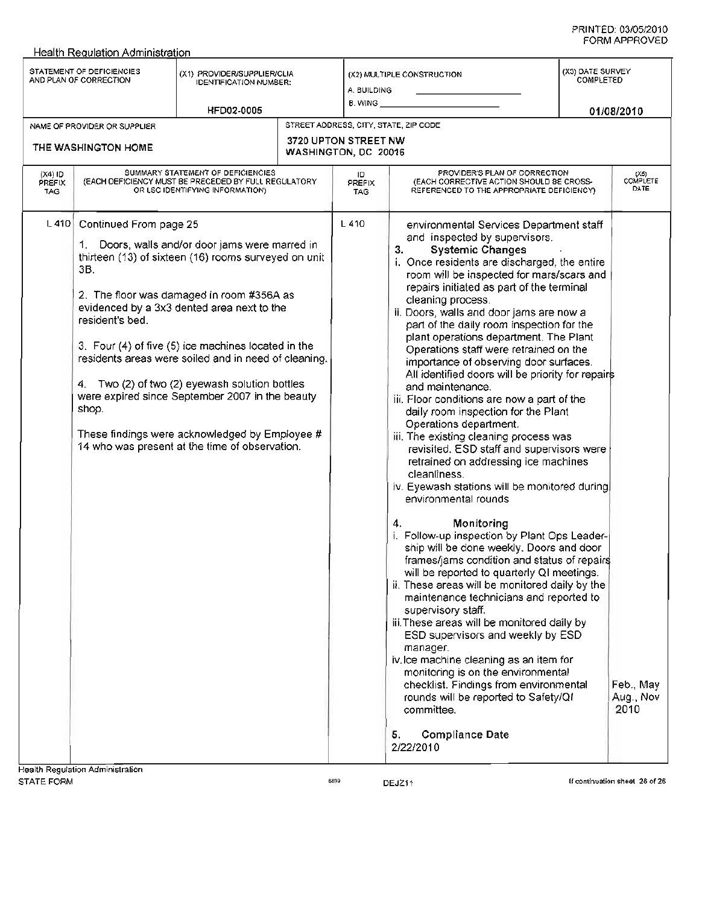|                                   | STATEMENT OF DEFICIENCIES<br>AND PLAN OF CORRECTION       | (X1) PROVIDER/SUPPLIER/CLIA<br>IDENTIFICATION NUMBER:                                                                                                                                                                                                                                                                                                                                                                                                                                                                      | A. BUILDING                                  | (X2) MULTIPLE CONSTRUCTION                                                                                                                                                                                                                                                                                                                                                                                                                                                                                                                                                                                                                                                                                                                                                                                                                                                                                                                                                                                                                                                                                                                                                                                                                                                                                                                                                                                                                                                                                                                                                    | (X3) DATE SURVEY<br>COMPLETED |                                |
|-----------------------------------|-----------------------------------------------------------|----------------------------------------------------------------------------------------------------------------------------------------------------------------------------------------------------------------------------------------------------------------------------------------------------------------------------------------------------------------------------------------------------------------------------------------------------------------------------------------------------------------------------|----------------------------------------------|-------------------------------------------------------------------------------------------------------------------------------------------------------------------------------------------------------------------------------------------------------------------------------------------------------------------------------------------------------------------------------------------------------------------------------------------------------------------------------------------------------------------------------------------------------------------------------------------------------------------------------------------------------------------------------------------------------------------------------------------------------------------------------------------------------------------------------------------------------------------------------------------------------------------------------------------------------------------------------------------------------------------------------------------------------------------------------------------------------------------------------------------------------------------------------------------------------------------------------------------------------------------------------------------------------------------------------------------------------------------------------------------------------------------------------------------------------------------------------------------------------------------------------------------------------------------------------|-------------------------------|--------------------------------|
|                                   |                                                           | <b>HFD02-0005</b>                                                                                                                                                                                                                                                                                                                                                                                                                                                                                                          | B. WING                                      |                                                                                                                                                                                                                                                                                                                                                                                                                                                                                                                                                                                                                                                                                                                                                                                                                                                                                                                                                                                                                                                                                                                                                                                                                                                                                                                                                                                                                                                                                                                                                                               |                               | 01/08/2010                     |
|                                   | NAME OF PROVIDER OR SUPPLIER                              |                                                                                                                                                                                                                                                                                                                                                                                                                                                                                                                            |                                              | STREET AODRESS, CITY, STATE, ZIP CODE                                                                                                                                                                                                                                                                                                                                                                                                                                                                                                                                                                                                                                                                                                                                                                                                                                                                                                                                                                                                                                                                                                                                                                                                                                                                                                                                                                                                                                                                                                                                         |                               |                                |
|                                   | THE WASHINGTON HOME                                       |                                                                                                                                                                                                                                                                                                                                                                                                                                                                                                                            | 3720 UPTON STREET NW<br>WASHINGTON, DC 20016 |                                                                                                                                                                                                                                                                                                                                                                                                                                                                                                                                                                                                                                                                                                                                                                                                                                                                                                                                                                                                                                                                                                                                                                                                                                                                                                                                                                                                                                                                                                                                                                               |                               |                                |
| $(X4)$ ID<br>PREFIX<br><b>TAG</b> |                                                           | SUMMARY STATEMENT OF DEFICIENCIES<br>(EACH DEFICIENCY MUST BE PRECEDED BY FULL REGULATORY<br>OR LSC IDENTIFYING INFORMATION)                                                                                                                                                                                                                                                                                                                                                                                               | ID.<br>PREFIX<br><b>TAG</b>                  | PROVIDER'S PLAN OF CORRECTION<br>(EACH CORRECTIVE ACTION SHOULD BE CROSS-<br>REFERENCED TO THE APPROPRIATE DEFICIENCY)                                                                                                                                                                                                                                                                                                                                                                                                                                                                                                                                                                                                                                                                                                                                                                                                                                                                                                                                                                                                                                                                                                                                                                                                                                                                                                                                                                                                                                                        |                               | $(X5)$<br>COMPLETE<br>DATE     |
| L410                              | Continued From page 25<br>3B.<br>resident's bed.<br>shop. | 1. Doors, walls and/or door jams were marred in<br>thirteen (13) of sixteen (16) rooms surveyed on unit<br>2. The floor was damaged in room #356A as<br>evidenced by a 3x3 dented area next to the<br>3. Four (4) of five (5) ice machines located in the<br>residents areas were soiled and in need of cleaning.<br>4. Two (2) of two (2) eyewash solution bottles<br>were expired since September 2007 in the beauty<br>These findings were acknowledged by Employee #<br>14 who was present at the time of observation. | L 410                                        | environmental Services Department staff<br>and inspected by supervisors.<br>3.<br><b>Systemic Changes</b><br>i. Once residents are discharged, the entire<br>room will be inspected for mars/scars and<br>repairs initiated as part of the terminal<br>cleaning process.<br>ii. Doors, walls and door jams are now a<br>part of the daily room inspection for the<br>plant operations department. The Plant<br>Operations staff were retrained on the<br>importance of observing door surfaces.<br>All identified doors will be priority for repairs<br>and maintenance.<br>iii. Floor conditions are now a part of the<br>daily room inspection for the Plant<br>Operations department.<br>iii. The existing cleaning process was<br>revisited. ESD staff and supervisors were<br>retrained on addressing ice machines<br>cleanliness.<br>iv. Eyewash stations will be monitored during<br>environmental rounds<br>4.<br>Monitoring<br>i. Follow-up inspection by Plant Ops Leader-<br>ship will be done weekly. Doors and door<br>frames/jams condition and status of repairs<br>will be reported to quarterly QI meetings.<br>ii. These areas will be monitored daily by the<br>maintenance technicians and reported to<br>supervisory staff.<br>iii. These areas will be monitored daily by<br>ESD supervisors and weekly by ESD<br>manager.<br>iv.lce machine cleaning as an item for<br>monitoring is on the environmental<br>checklist. Findings from environmental<br>rounds will be reported to Safety/Qf<br>committee.<br><b>Compliance Date</b><br>5.<br>2/22/2010 |                               | Feb., May<br>Aug., Nov<br>2010 |
| STATE FORM                        | <b>Health Regulation Administration</b>                   |                                                                                                                                                                                                                                                                                                                                                                                                                                                                                                                            | 6899                                         | DEJZ11                                                                                                                                                                                                                                                                                                                                                                                                                                                                                                                                                                                                                                                                                                                                                                                                                                                                                                                                                                                                                                                                                                                                                                                                                                                                                                                                                                                                                                                                                                                                                                        |                               | If continuation sheet 26 of 26 |